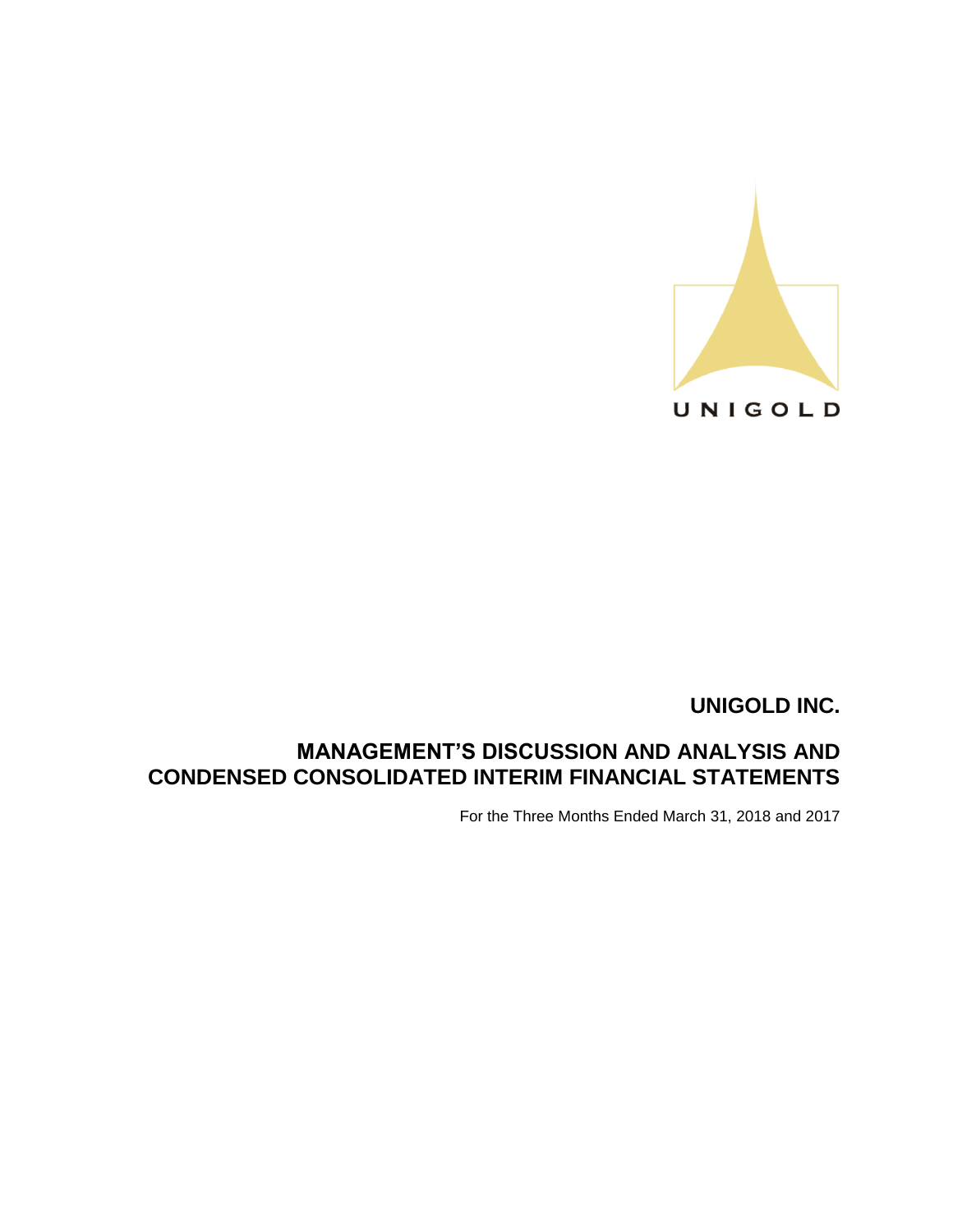

# **MANAGEMENT'S DISCUSSION AND ANALYSIS AND CONDENSED CONSOLIDATED INTERIM FINANCIAL STATEMENTS**

For the Three Months Ended March 31, 2018 and 2017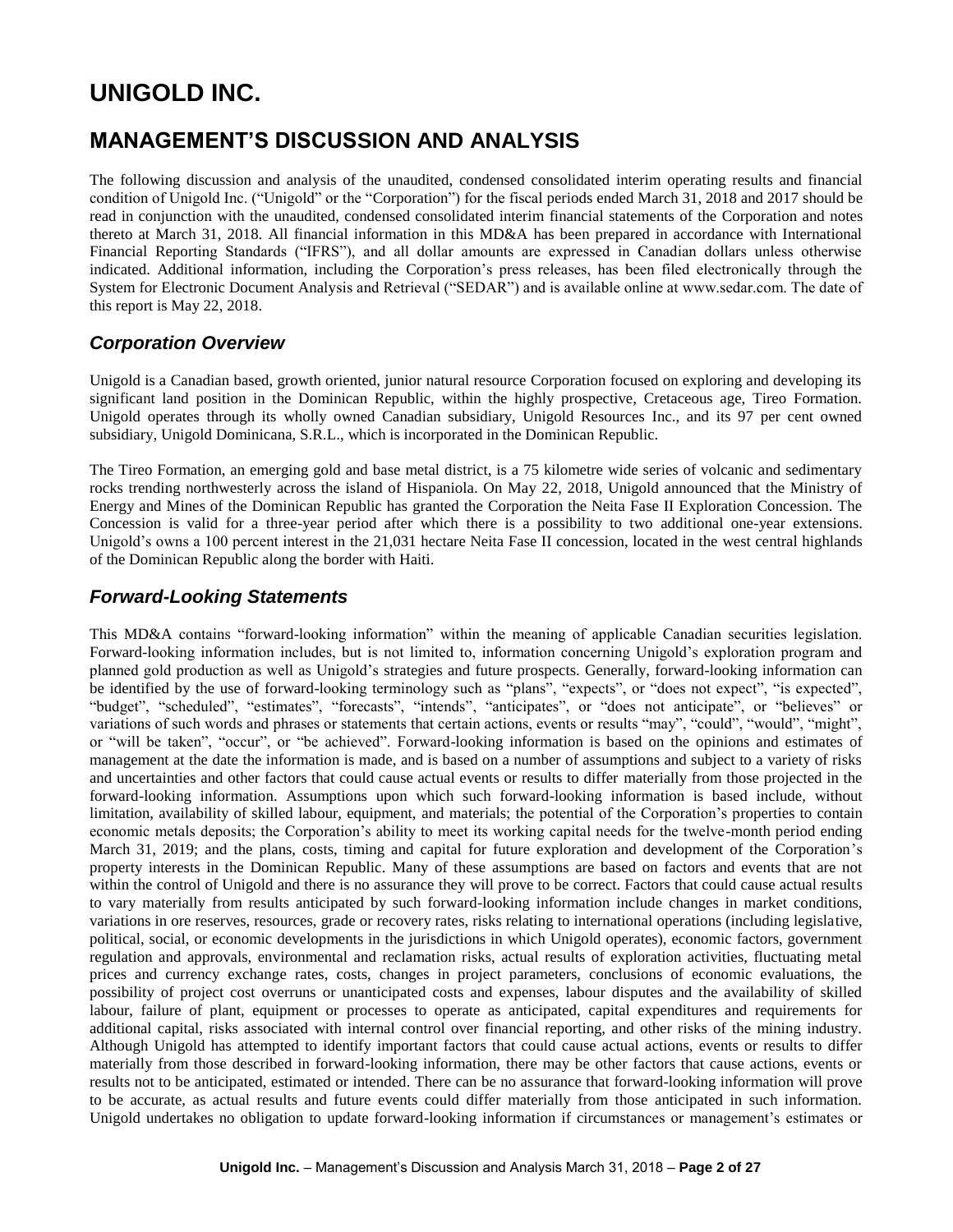# **MANAGEMENT'S DISCUSSION AND ANALYSIS**

The following discussion and analysis of the unaudited, condensed consolidated interim operating results and financial condition of Unigold Inc. ("Unigold" or the "Corporation") for the fiscal periods ended March 31, 2018 and 2017 should be read in conjunction with the unaudited, condensed consolidated interim financial statements of the Corporation and notes thereto at March 31, 2018. All financial information in this MD&A has been prepared in accordance with International Financial Reporting Standards ("IFRS"), and all dollar amounts are expressed in Canadian dollars unless otherwise indicated. Additional information, including the Corporation's press releases, has been filed electronically through the System for Electronic Document Analysis and Retrieval ("SEDAR") and is available online at www.sedar.com. The date of this report is May 22, 2018.

# *Corporation Overview*

Unigold is a Canadian based, growth oriented, junior natural resource Corporation focused on exploring and developing its significant land position in the Dominican Republic, within the highly prospective, Cretaceous age, Tireo Formation. Unigold operates through its wholly owned Canadian subsidiary, Unigold Resources Inc., and its 97 per cent owned subsidiary, Unigold Dominicana, S.R.L., which is incorporated in the Dominican Republic.

The Tireo Formation, an emerging gold and base metal district, is a 75 kilometre wide series of volcanic and sedimentary rocks trending northwesterly across the island of Hispaniola. On May 22, 2018, Unigold announced that the Ministry of Energy and Mines of the Dominican Republic has granted the Corporation the Neita Fase II Exploration Concession. The Concession is valid for a three-year period after which there is a possibility to two additional one-year extensions. Unigold's owns a 100 percent interest in the 21,031 hectare Neita Fase II concession, located in the west central highlands of the Dominican Republic along the border with Haiti.

# *Forward-Looking Statements*

This MD&A contains "forward-looking information" within the meaning of applicable Canadian securities legislation. Forward-looking information includes, but is not limited to, information concerning Unigold's exploration program and planned gold production as well as Unigold's strategies and future prospects. Generally, forward-looking information can be identified by the use of forward-looking terminology such as "plans", "expects", or "does not expect", "is expected", "budget", "scheduled", "estimates", "forecasts", "intends", "anticipates", or "does not anticipate", or "believes" or variations of such words and phrases or statements that certain actions, events or results "may", "could", "would", "might", or "will be taken", "occur", or "be achieved". Forward-looking information is based on the opinions and estimates of management at the date the information is made, and is based on a number of assumptions and subject to a variety of risks and uncertainties and other factors that could cause actual events or results to differ materially from those projected in the forward-looking information. Assumptions upon which such forward-looking information is based include, without limitation, availability of skilled labour, equipment, and materials; the potential of the Corporation's properties to contain economic metals deposits; the Corporation's ability to meet its working capital needs for the twelve-month period ending March 31, 2019; and the plans, costs, timing and capital for future exploration and development of the Corporation's property interests in the Dominican Republic. Many of these assumptions are based on factors and events that are not within the control of Unigold and there is no assurance they will prove to be correct. Factors that could cause actual results to vary materially from results anticipated by such forward-looking information include changes in market conditions, variations in ore reserves, resources, grade or recovery rates, risks relating to international operations (including legislative, political, social, or economic developments in the jurisdictions in which Unigold operates), economic factors, government regulation and approvals, environmental and reclamation risks, actual results of exploration activities, fluctuating metal prices and currency exchange rates, costs, changes in project parameters, conclusions of economic evaluations, the possibility of project cost overruns or unanticipated costs and expenses, labour disputes and the availability of skilled labour, failure of plant, equipment or processes to operate as anticipated, capital expenditures and requirements for additional capital, risks associated with internal control over financial reporting, and other risks of the mining industry. Although Unigold has attempted to identify important factors that could cause actual actions, events or results to differ materially from those described in forward-looking information, there may be other factors that cause actions, events or results not to be anticipated, estimated or intended. There can be no assurance that forward-looking information will prove to be accurate, as actual results and future events could differ materially from those anticipated in such information. Unigold undertakes no obligation to update forward-looking information if circumstances or management's estimates or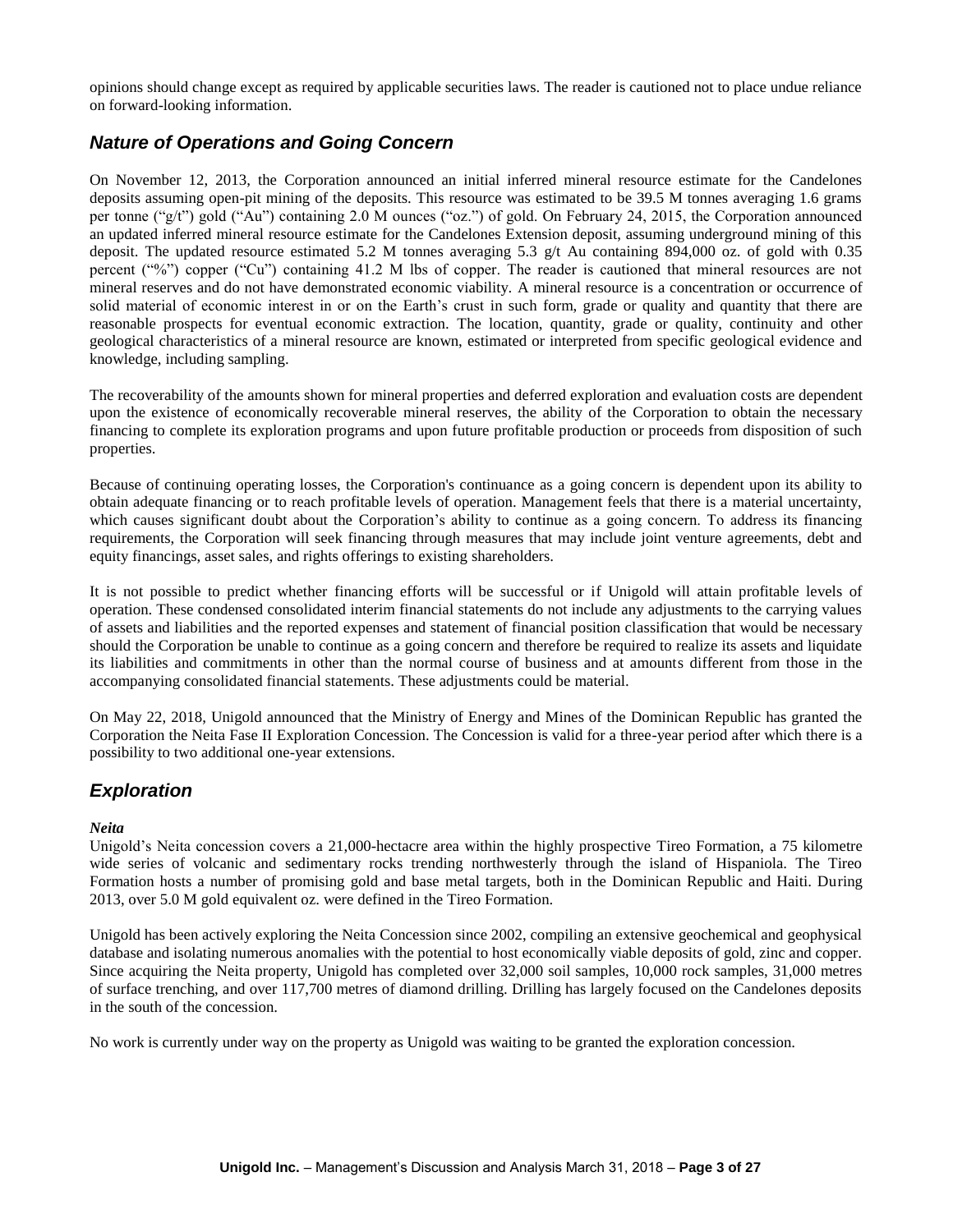opinions should change except as required by applicable securities laws. The reader is cautioned not to place undue reliance on forward-looking information.

# *Nature of Operations and Going Concern*

On November 12, 2013, the Corporation announced an initial inferred mineral resource estimate for the Candelones deposits assuming open-pit mining of the deposits. This resource was estimated to be 39.5 M tonnes averaging 1.6 grams per tonne ("g/t") gold ("Au") containing 2.0 M ounces ("oz.") of gold. On February 24, 2015, the Corporation announced an updated inferred mineral resource estimate for the Candelones Extension deposit, assuming underground mining of this deposit. The updated resource estimated 5.2 M tonnes averaging 5.3 g/t Au containing 894,000 oz. of gold with 0.35 percent ("%") copper ("Cu") containing 41.2 M lbs of copper. The reader is cautioned that mineral resources are not mineral reserves and do not have demonstrated economic viability. A mineral resource is a concentration or occurrence of solid material of economic interest in or on the Earth's crust in such form, grade or quality and quantity that there are reasonable prospects for eventual economic extraction. The location, quantity, grade or quality, continuity and other geological characteristics of a mineral resource are known, estimated or interpreted from specific geological evidence and knowledge, including sampling.

The recoverability of the amounts shown for mineral properties and deferred exploration and evaluation costs are dependent upon the existence of economically recoverable mineral reserves, the ability of the Corporation to obtain the necessary financing to complete its exploration programs and upon future profitable production or proceeds from disposition of such properties.

Because of continuing operating losses, the Corporation's continuance as a going concern is dependent upon its ability to obtain adequate financing or to reach profitable levels of operation. Management feels that there is a material uncertainty, which causes significant doubt about the Corporation's ability to continue as a going concern. To address its financing requirements, the Corporation will seek financing through measures that may include joint venture agreements, debt and equity financings, asset sales, and rights offerings to existing shareholders.

It is not possible to predict whether financing efforts will be successful or if Unigold will attain profitable levels of operation. These condensed consolidated interim financial statements do not include any adjustments to the carrying values of assets and liabilities and the reported expenses and statement of financial position classification that would be necessary should the Corporation be unable to continue as a going concern and therefore be required to realize its assets and liquidate its liabilities and commitments in other than the normal course of business and at amounts different from those in the accompanying consolidated financial statements. These adjustments could be material.

On May 22, 2018, Unigold announced that the Ministry of Energy and Mines of the Dominican Republic has granted the Corporation the Neita Fase II Exploration Concession. The Concession is valid for a three-year period after which there is a possibility to two additional one-year extensions.

# *Exploration*

### *Neita*

Unigold's Neita concession covers a 21,000-hectacre area within the highly prospective Tireo Formation, a 75 kilometre wide series of volcanic and sedimentary rocks trending northwesterly through the island of Hispaniola. The Tireo Formation hosts a number of promising gold and base metal targets, both in the Dominican Republic and Haiti. During 2013, over 5.0 M gold equivalent oz. were defined in the Tireo Formation.

Unigold has been actively exploring the Neita Concession since 2002, compiling an extensive geochemical and geophysical database and isolating numerous anomalies with the potential to host economically viable deposits of gold, zinc and copper. Since acquiring the Neita property, Unigold has completed over 32,000 soil samples, 10,000 rock samples, 31,000 metres of surface trenching, and over 117,700 metres of diamond drilling. Drilling has largely focused on the Candelones deposits in the south of the concession.

No work is currently under way on the property as Unigold was waiting to be granted the exploration concession.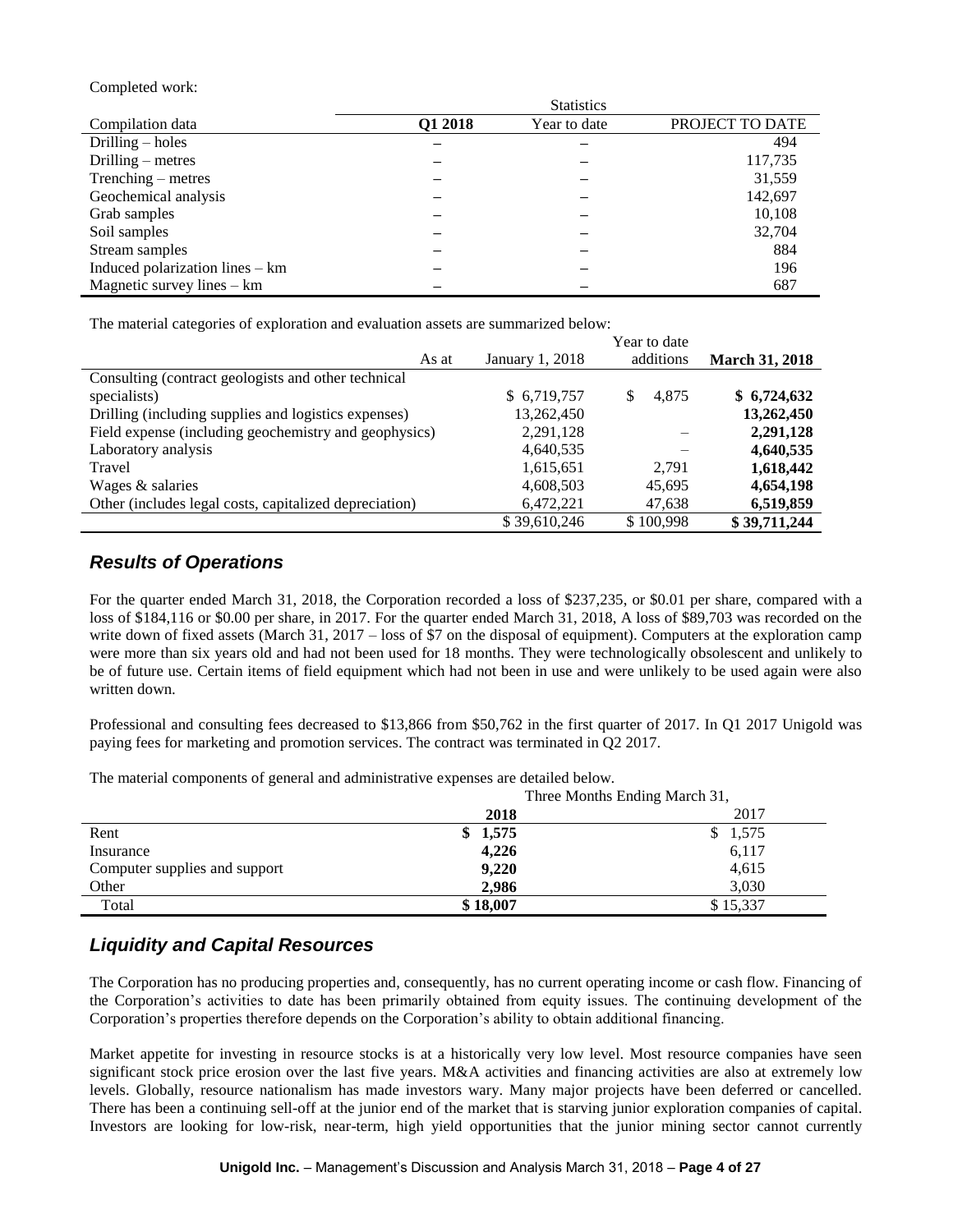#### Completed work:

|                                 | <b>Statistics</b> |              |                 |  |  |  |
|---------------------------------|-------------------|--------------|-----------------|--|--|--|
| Compilation data                | Q1 2018           | Year to date | PROJECT TO DATE |  |  |  |
| Drilling $-$ holes              |                   |              | 494             |  |  |  |
| Drilling $-$ metres             |                   |              | 117,735         |  |  |  |
| $Trenching - metres$            |                   |              | 31,559          |  |  |  |
| Geochemical analysis            |                   |              | 142,697         |  |  |  |
| Grab samples                    |                   |              | 10,108          |  |  |  |
| Soil samples                    |                   |              | 32,704          |  |  |  |
| Stream samples                  |                   |              | 884             |  |  |  |
| Induced polarization lines – km |                   |              | 196             |  |  |  |
| Magnetic survey lines $-$ km    |                   |              | 687             |  |  |  |

The material categories of exploration and evaluation assets are summarized below:

|                                                        |                 | Year to date |                       |
|--------------------------------------------------------|-----------------|--------------|-----------------------|
| As at                                                  | January 1, 2018 | additions    | <b>March 31, 2018</b> |
| Consulting (contract geologists and other technical    |                 |              |                       |
| specialists)                                           | \$6,719,757     | 4.875<br>S   | \$6,724,632           |
| Drilling (including supplies and logistics expenses)   | 13,262,450      |              | 13,262,450            |
| Field expense (including geochemistry and geophysics)  | 2,291,128       |              | 2,291,128             |
| Laboratory analysis                                    | 4,640,535       |              | 4,640,535             |
| Travel                                                 | 1,615,651       | 2.791        | 1,618,442             |
| Wages & salaries                                       | 4,608,503       | 45,695       | 4,654,198             |
| Other (includes legal costs, capitalized depreciation) | 6,472,221       | 47,638       | 6,519,859             |
|                                                        | \$39,610,246    | \$100.998    | \$39,711,244          |

## *Results of Operations*

For the quarter ended March 31, 2018, the Corporation recorded a loss of \$237,235, or \$0.01 per share, compared with a loss of \$184,116 or \$0.00 per share, in 2017. For the quarter ended March 31, 2018, A loss of \$89,703 was recorded on the write down of fixed assets (March 31, 2017 – loss of \$7 on the disposal of equipment). Computers at the exploration camp were more than six years old and had not been used for 18 months. They were technologically obsolescent and unlikely to be of future use. Certain items of field equipment which had not been in use and were unlikely to be used again were also written down.

Professional and consulting fees decreased to \$13,866 from \$50,762 in the first quarter of 2017. In Q1 2017 Unigold was paying fees for marketing and promotion services. The contract was terminated in Q2 2017.

The material components of general and administrative expenses are detailed below.

|                               | Three Months Ending March 31, |          |  |  |
|-------------------------------|-------------------------------|----------|--|--|
|                               | 2018                          | 2017     |  |  |
| Rent                          | \$1,575                       | \$1,575  |  |  |
| Insurance                     | 4,226                         | 6,117    |  |  |
| Computer supplies and support | 9,220                         | 4,615    |  |  |
| Other                         | 2,986                         | 3,030    |  |  |
| Total                         | \$18,007                      | \$15,337 |  |  |

# *Liquidity and Capital Resources*

The Corporation has no producing properties and, consequently, has no current operating income or cash flow. Financing of the Corporation's activities to date has been primarily obtained from equity issues. The continuing development of the Corporation's properties therefore depends on the Corporation's ability to obtain additional financing.

Market appetite for investing in resource stocks is at a historically very low level. Most resource companies have seen significant stock price erosion over the last five years.  $M&A$  activities and financing activities are also at extremely low levels. Globally, resource nationalism has made investors wary. Many major projects have been deferred or cancelled. There has been a continuing sell-off at the junior end of the market that is starving junior exploration companies of capital. Investors are looking for low-risk, near-term, high yield opportunities that the junior mining sector cannot currently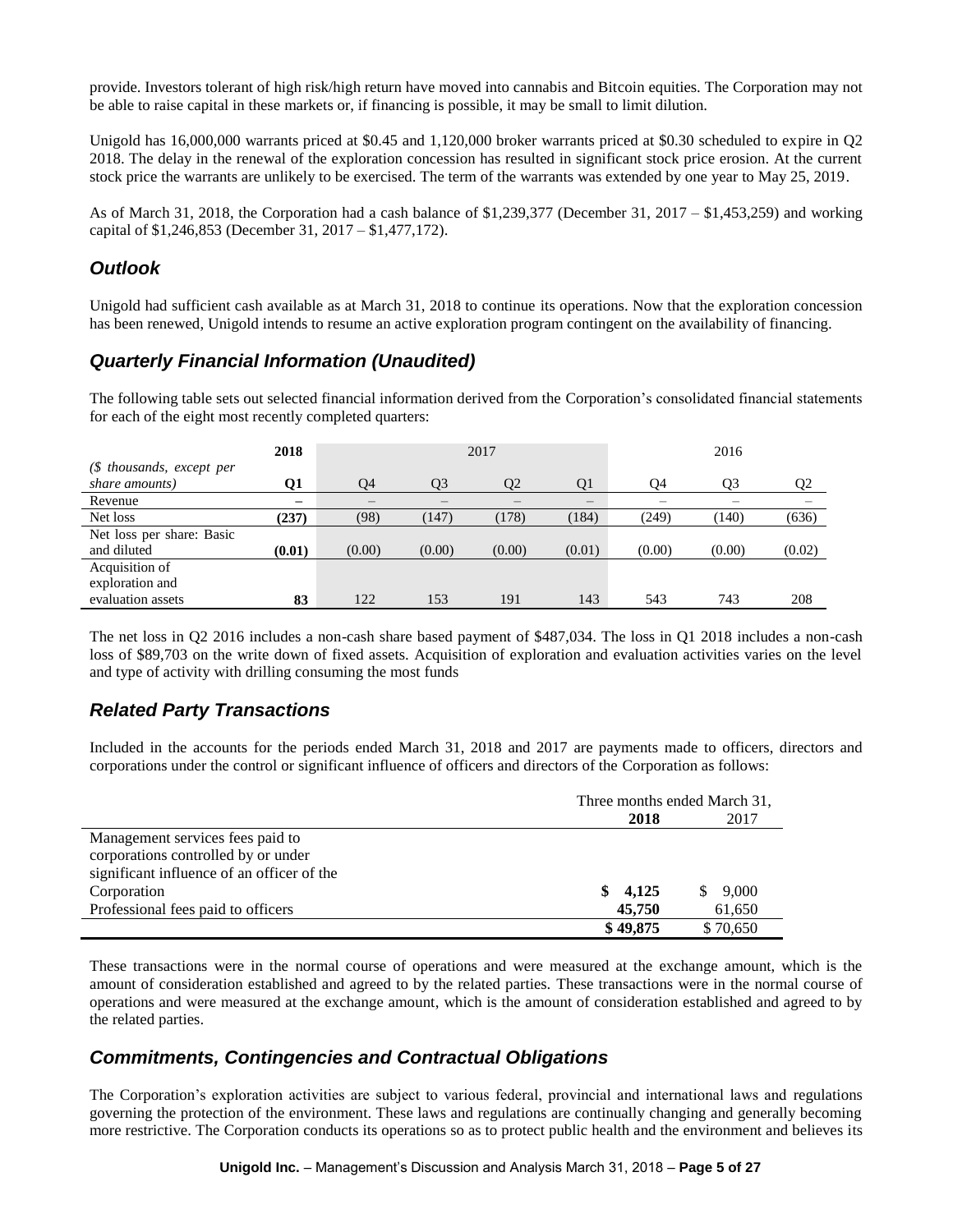provide. Investors tolerant of high risk/high return have moved into cannabis and Bitcoin equities. The Corporation may not be able to raise capital in these markets or, if financing is possible, it may be small to limit dilution.

Unigold has 16,000,000 warrants priced at \$0.45 and 1,120,000 broker warrants priced at \$0.30 scheduled to expire in Q2 2018. The delay in the renewal of the exploration concession has resulted in significant stock price erosion. At the current stock price the warrants are unlikely to be exercised. The term of the warrants was extended by one year to May 25, 2019.

As of March 31, 2018, the Corporation had a cash balance of \$1,239,377 (December 31, 2017 – \$1,453,259) and working capital of \$1,246,853 (December 31, 2017 – \$1,477,172).

# *Outlook*

Unigold had sufficient cash available as at March 31, 2018 to continue its operations. Now that the exploration concession has been renewed, Unigold intends to resume an active exploration program contingent on the availability of financing.

# *Quarterly Financial Information (Unaudited)*

The following table sets out selected financial information derived from the Corporation's consolidated financial statements for each of the eight most recently completed quarters:

|                            | 2018                     | 2017   |                |        | 2016   |        |        |                |
|----------------------------|--------------------------|--------|----------------|--------|--------|--------|--------|----------------|
| $(S$ thousands, except per |                          |        |                |        |        |        |        |                |
| share amounts)             | 01                       | Q4     | O <sub>3</sub> | О2     | Q1     | Q4     | Q3     | Q <sub>2</sub> |
| Revenue                    | $\overline{\phantom{0}}$ |        |                |        |        |        |        |                |
| Net loss                   | (237)                    | (98)   | 147)           | (178)  | (184)  | (249)  | (140)  | (636)          |
| Net loss per share: Basic  |                          |        |                |        |        |        |        |                |
| and diluted                | (0.01)                   | (0.00) | (0.00)         | (0.00) | (0.01) | (0.00) | (0.00) | (0.02)         |
| Acquisition of             |                          |        |                |        |        |        |        |                |
| exploration and            |                          |        |                |        |        |        |        |                |
| evaluation assets          | 83                       | 122    | 153            | 191    | 143    | 543    | 743    | 208            |

The net loss in Q2 2016 includes a non-cash share based payment of \$487,034. The loss in Q1 2018 includes a non-cash loss of \$89,703 on the write down of fixed assets. Acquisition of exploration and evaluation activities varies on the level and type of activity with drilling consuming the most funds

# *Related Party Transactions*

Included in the accounts for the periods ended March 31, 2018 and 2017 are payments made to officers, directors and corporations under the control or significant influence of officers and directors of the Corporation as follows:

|                                            | Three months ended March 31, |             |  |  |
|--------------------------------------------|------------------------------|-------------|--|--|
|                                            | 2018                         | 2017        |  |  |
| Management services fees paid to           |                              |             |  |  |
| corporations controlled by or under        |                              |             |  |  |
| significant influence of an officer of the |                              |             |  |  |
| Corporation                                | \$4,125                      | 9,000<br>S. |  |  |
| Professional fees paid to officers         | 45,750                       | 61,650      |  |  |
|                                            | \$49,875                     | \$70,650    |  |  |

These transactions were in the normal course of operations and were measured at the exchange amount, which is the amount of consideration established and agreed to by the related parties. These transactions were in the normal course of operations and were measured at the exchange amount, which is the amount of consideration established and agreed to by the related parties.

## *Commitments, Contingencies and Contractual Obligations*

The Corporation's exploration activities are subject to various federal, provincial and international laws and regulations governing the protection of the environment. These laws and regulations are continually changing and generally becoming more restrictive. The Corporation conducts its operations so as to protect public health and the environment and believes its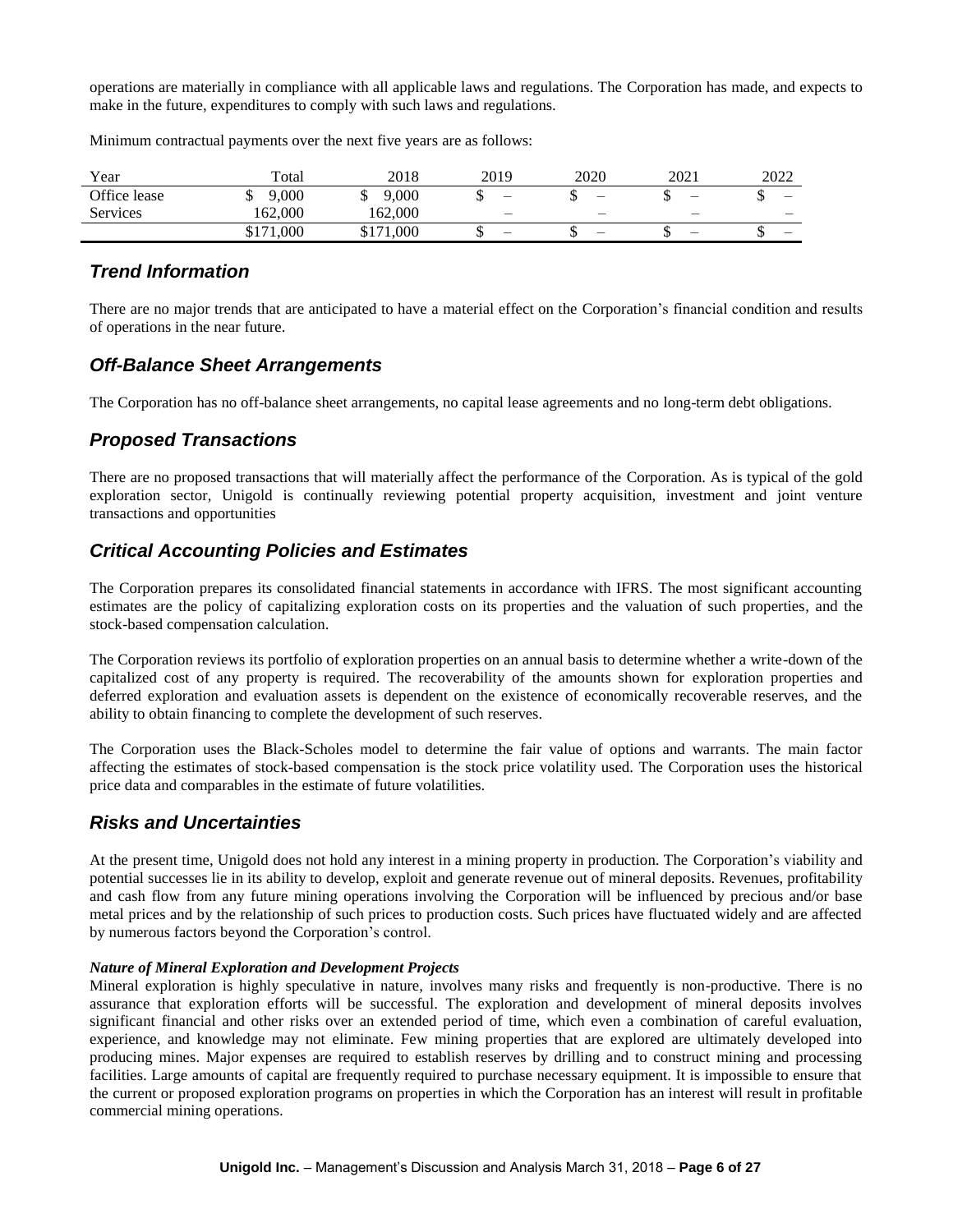operations are materially in compliance with all applicable laws and regulations. The Corporation has made, and expects to make in the future, expenditures to comply with such laws and regulations.

Minimum contractual payments over the next five years are as follows:

| Year         | Total     | 2018      | 2019                     | 2020                     | 2021                     | 2022 |
|--------------|-----------|-----------|--------------------------|--------------------------|--------------------------|------|
| Office lease | 9,000     | 9,000     | $\overline{\phantom{m}}$ | $\overline{\phantom{0}}$ | $\overline{\phantom{m}}$ | –    |
| Services     | 162.000   | 162,000   | $\overline{\phantom{0}}$ |                          | -                        | -    |
|              | \$171,000 | \$171,000 | -                        | -                        | $\overline{\phantom{0}}$ | —    |

## *Trend Information*

There are no major trends that are anticipated to have a material effect on the Corporation's financial condition and results of operations in the near future.

### *Off-Balance Sheet Arrangements*

The Corporation has no off-balance sheet arrangements, no capital lease agreements and no long-term debt obligations.

## *Proposed Transactions*

There are no proposed transactions that will materially affect the performance of the Corporation. As is typical of the gold exploration sector, Unigold is continually reviewing potential property acquisition, investment and joint venture transactions and opportunities

# *Critical Accounting Policies and Estimates*

The Corporation prepares its consolidated financial statements in accordance with IFRS. The most significant accounting estimates are the policy of capitalizing exploration costs on its properties and the valuation of such properties, and the stock-based compensation calculation.

The Corporation reviews its portfolio of exploration properties on an annual basis to determine whether a write-down of the capitalized cost of any property is required. The recoverability of the amounts shown for exploration properties and deferred exploration and evaluation assets is dependent on the existence of economically recoverable reserves, and the ability to obtain financing to complete the development of such reserves.

The Corporation uses the Black-Scholes model to determine the fair value of options and warrants. The main factor affecting the estimates of stock-based compensation is the stock price volatility used. The Corporation uses the historical price data and comparables in the estimate of future volatilities.

## *Risks and Uncertainties*

At the present time, Unigold does not hold any interest in a mining property in production. The Corporation's viability and potential successes lie in its ability to develop, exploit and generate revenue out of mineral deposits. Revenues, profitability and cash flow from any future mining operations involving the Corporation will be influenced by precious and/or base metal prices and by the relationship of such prices to production costs. Such prices have fluctuated widely and are affected by numerous factors beyond the Corporation's control.

#### *Nature of Mineral Exploration and Development Projects*

Mineral exploration is highly speculative in nature, involves many risks and frequently is non-productive. There is no assurance that exploration efforts will be successful. The exploration and development of mineral deposits involves significant financial and other risks over an extended period of time, which even a combination of careful evaluation, experience, and knowledge may not eliminate. Few mining properties that are explored are ultimately developed into producing mines. Major expenses are required to establish reserves by drilling and to construct mining and processing facilities. Large amounts of capital are frequently required to purchase necessary equipment. It is impossible to ensure that the current or proposed exploration programs on properties in which the Corporation has an interest will result in profitable commercial mining operations.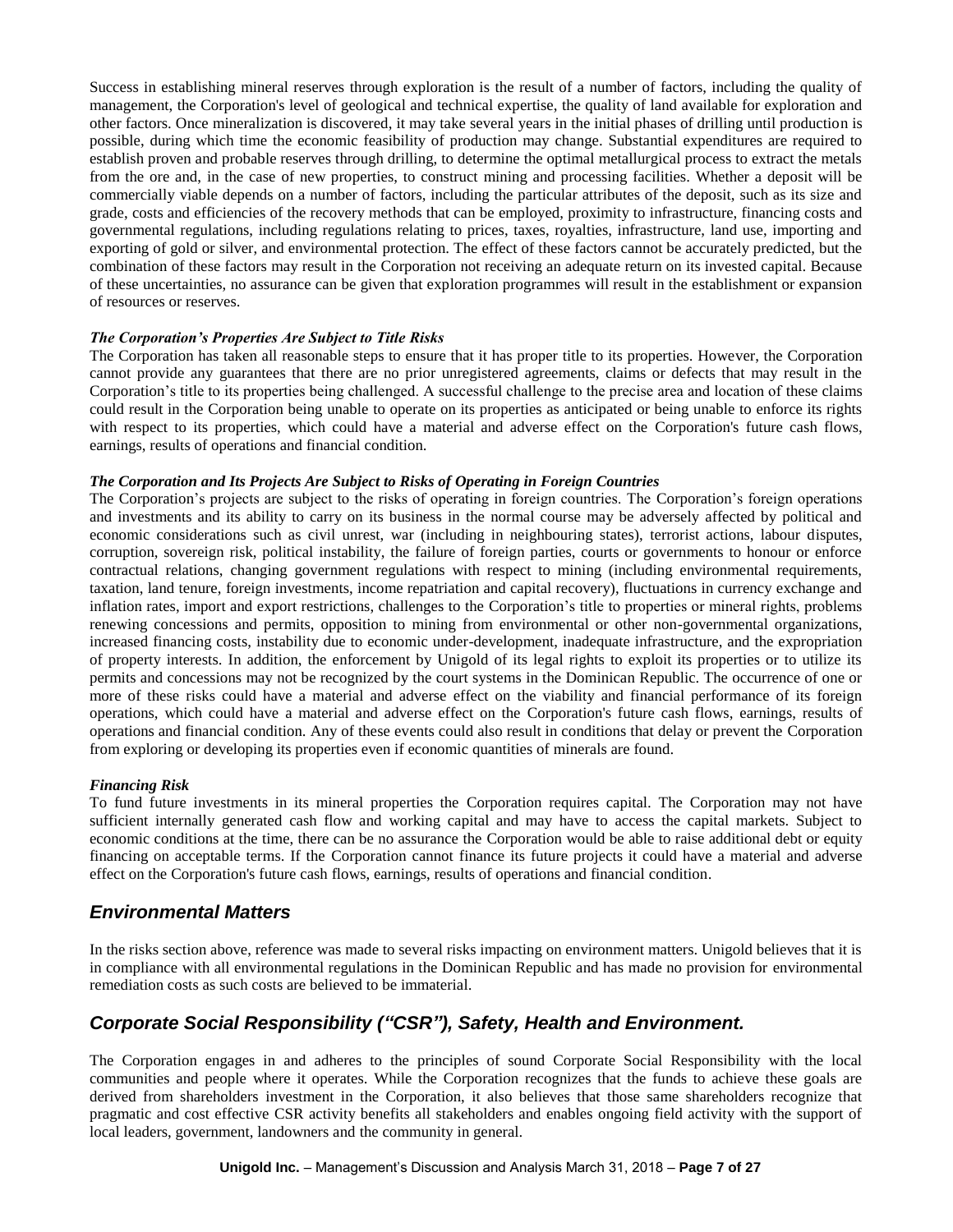Success in establishing mineral reserves through exploration is the result of a number of factors, including the quality of management, the Corporation's level of geological and technical expertise, the quality of land available for exploration and other factors. Once mineralization is discovered, it may take several years in the initial phases of drilling until production is possible, during which time the economic feasibility of production may change. Substantial expenditures are required to establish proven and probable reserves through drilling, to determine the optimal metallurgical process to extract the metals from the ore and, in the case of new properties, to construct mining and processing facilities. Whether a deposit will be commercially viable depends on a number of factors, including the particular attributes of the deposit, such as its size and grade, costs and efficiencies of the recovery methods that can be employed, proximity to infrastructure, financing costs and governmental regulations, including regulations relating to prices, taxes, royalties, infrastructure, land use, importing and exporting of gold or silver, and environmental protection. The effect of these factors cannot be accurately predicted, but the combination of these factors may result in the Corporation not receiving an adequate return on its invested capital. Because of these uncertainties, no assurance can be given that exploration programmes will result in the establishment or expansion of resources or reserves.

### *The Corporation's Properties Are Subject to Title Risks*

The Corporation has taken all reasonable steps to ensure that it has proper title to its properties. However, the Corporation cannot provide any guarantees that there are no prior unregistered agreements, claims or defects that may result in the Corporation's title to its properties being challenged. A successful challenge to the precise area and location of these claims could result in the Corporation being unable to operate on its properties as anticipated or being unable to enforce its rights with respect to its properties, which could have a material and adverse effect on the Corporation's future cash flows, earnings, results of operations and financial condition.

### *The Corporation and Its Projects Are Subject to Risks of Operating in Foreign Countries*

The Corporation's projects are subject to the risks of operating in foreign countries. The Corporation's foreign operations and investments and its ability to carry on its business in the normal course may be adversely affected by political and economic considerations such as civil unrest, war (including in neighbouring states), terrorist actions, labour disputes, corruption, sovereign risk, political instability, the failure of foreign parties, courts or governments to honour or enforce contractual relations, changing government regulations with respect to mining (including environmental requirements, taxation, land tenure, foreign investments, income repatriation and capital recovery), fluctuations in currency exchange and inflation rates, import and export restrictions, challenges to the Corporation's title to properties or mineral rights, problems renewing concessions and permits, opposition to mining from environmental or other non-governmental organizations, increased financing costs, instability due to economic under-development, inadequate infrastructure, and the expropriation of property interests. In addition, the enforcement by Unigold of its legal rights to exploit its properties or to utilize its permits and concessions may not be recognized by the court systems in the Dominican Republic. The occurrence of one or more of these risks could have a material and adverse effect on the viability and financial performance of its foreign operations, which could have a material and adverse effect on the Corporation's future cash flows, earnings, results of operations and financial condition. Any of these events could also result in conditions that delay or prevent the Corporation from exploring or developing its properties even if economic quantities of minerals are found.

### *Financing Risk*

To fund future investments in its mineral properties the Corporation requires capital. The Corporation may not have sufficient internally generated cash flow and working capital and may have to access the capital markets. Subject to economic conditions at the time, there can be no assurance the Corporation would be able to raise additional debt or equity financing on acceptable terms. If the Corporation cannot finance its future projects it could have a material and adverse effect on the Corporation's future cash flows, earnings, results of operations and financial condition.

# *Environmental Matters*

In the risks section above, reference was made to several risks impacting on environment matters. Unigold believes that it is in compliance with all environmental regulations in the Dominican Republic and has made no provision for environmental remediation costs as such costs are believed to be immaterial.

# *Corporate Social Responsibility ("CSR"), Safety, Health and Environment.*

The Corporation engages in and adheres to the principles of sound Corporate Social Responsibility with the local communities and people where it operates. While the Corporation recognizes that the funds to achieve these goals are derived from shareholders investment in the Corporation, it also believes that those same shareholders recognize that pragmatic and cost effective CSR activity benefits all stakeholders and enables ongoing field activity with the support of local leaders, government, landowners and the community in general.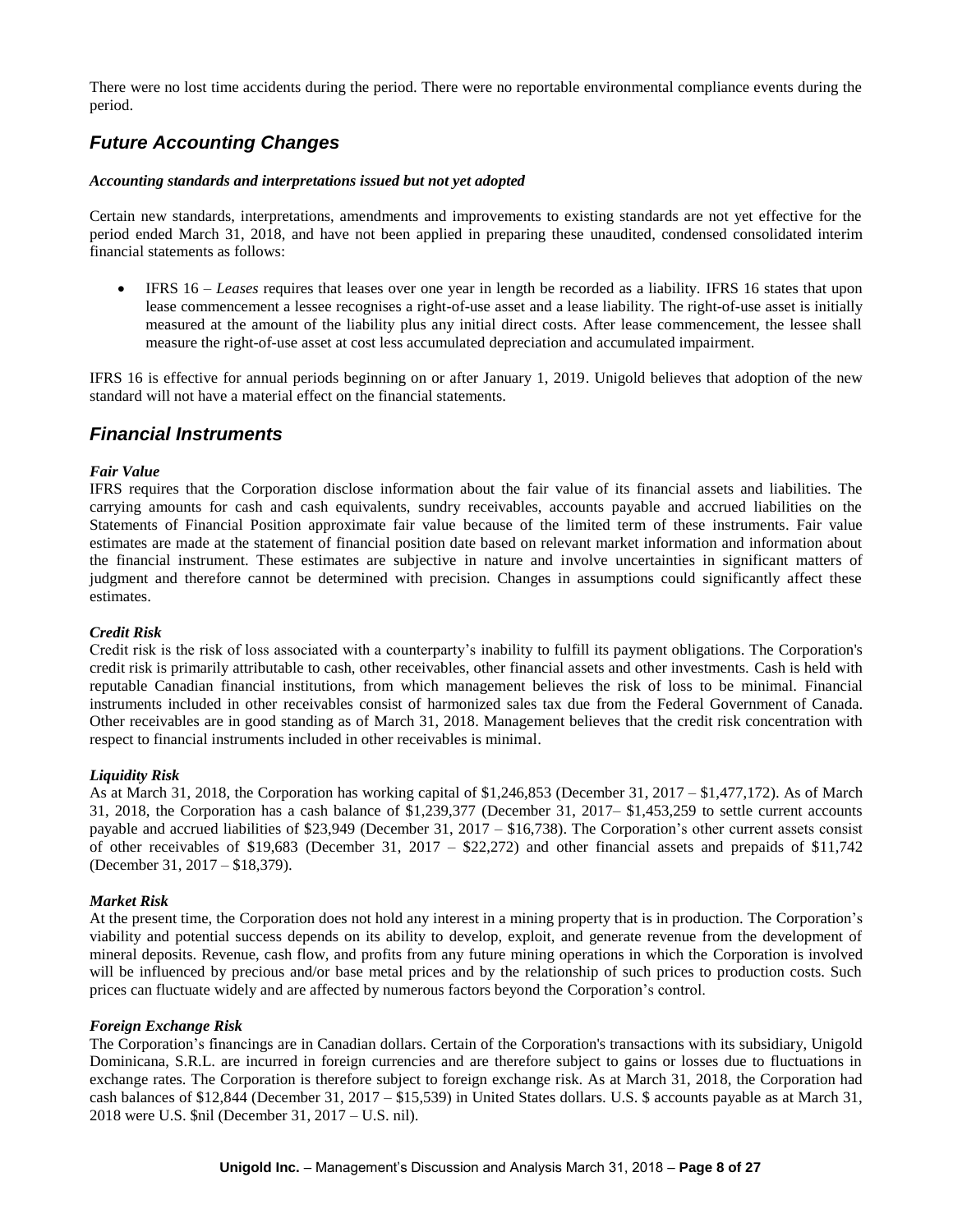There were no lost time accidents during the period. There were no reportable environmental compliance events during the period.

# *Future Accounting Changes*

#### *Accounting standards and interpretations issued but not yet adopted*

Certain new standards, interpretations, amendments and improvements to existing standards are not yet effective for the period ended March 31, 2018, and have not been applied in preparing these unaudited, condensed consolidated interim financial statements as follows:

 IFRS 16 – *Leases* requires that leases over one year in length be recorded as a liability. IFRS 16 states that upon lease commencement a lessee recognises a right-of-use asset and a lease liability. The right-of-use asset is initially measured at the amount of the liability plus any initial direct costs. After lease commencement, the lessee shall measure the right-of-use asset at cost less accumulated depreciation and accumulated impairment.

IFRS 16 is effective for annual periods beginning on or after January 1, 2019. Unigold believes that adoption of the new standard will not have a material effect on the financial statements.

### *Financial Instruments*

#### *Fair Value*

IFRS requires that the Corporation disclose information about the fair value of its financial assets and liabilities. The carrying amounts for cash and cash equivalents, sundry receivables, accounts payable and accrued liabilities on the Statements of Financial Position approximate fair value because of the limited term of these instruments. Fair value estimates are made at the statement of financial position date based on relevant market information and information about the financial instrument. These estimates are subjective in nature and involve uncertainties in significant matters of judgment and therefore cannot be determined with precision. Changes in assumptions could significantly affect these estimates.

#### *Credit Risk*

Credit risk is the risk of loss associated with a counterparty's inability to fulfill its payment obligations. The Corporation's credit risk is primarily attributable to cash, other receivables, other financial assets and other investments. Cash is held with reputable Canadian financial institutions, from which management believes the risk of loss to be minimal. Financial instruments included in other receivables consist of harmonized sales tax due from the Federal Government of Canada. Other receivables are in good standing as of March 31, 2018. Management believes that the credit risk concentration with respect to financial instruments included in other receivables is minimal.

#### *Liquidity Risk*

As at March 31, 2018, the Corporation has working capital of \$1,246,853 (December 31, 2017 – \$1,477,172). As of March 31, 2018, the Corporation has a cash balance of \$1,239,377 (December 31, 2017– \$1,453,259 to settle current accounts payable and accrued liabilities of \$23,949 (December 31, 2017 – \$16,738). The Corporation's other current assets consist of other receivables of \$19,683 (December 31, 2017 – \$22,272) and other financial assets and prepaids of \$11,742 (December 31, 2017 – \$18,379).

#### *Market Risk*

At the present time, the Corporation does not hold any interest in a mining property that is in production. The Corporation's viability and potential success depends on its ability to develop, exploit, and generate revenue from the development of mineral deposits. Revenue, cash flow, and profits from any future mining operations in which the Corporation is involved will be influenced by precious and/or base metal prices and by the relationship of such prices to production costs. Such prices can fluctuate widely and are affected by numerous factors beyond the Corporation's control.

#### *Foreign Exchange Risk*

The Corporation's financings are in Canadian dollars. Certain of the Corporation's transactions with its subsidiary, Unigold Dominicana, S.R.L. are incurred in foreign currencies and are therefore subject to gains or losses due to fluctuations in exchange rates. The Corporation is therefore subject to foreign exchange risk. As at March 31, 2018, the Corporation had cash balances of \$12,844 (December 31, 2017 – \$15,539) in United States dollars. U.S. \$ accounts payable as at March 31, 2018 were U.S. \$nil (December 31, 2017 – U.S. nil).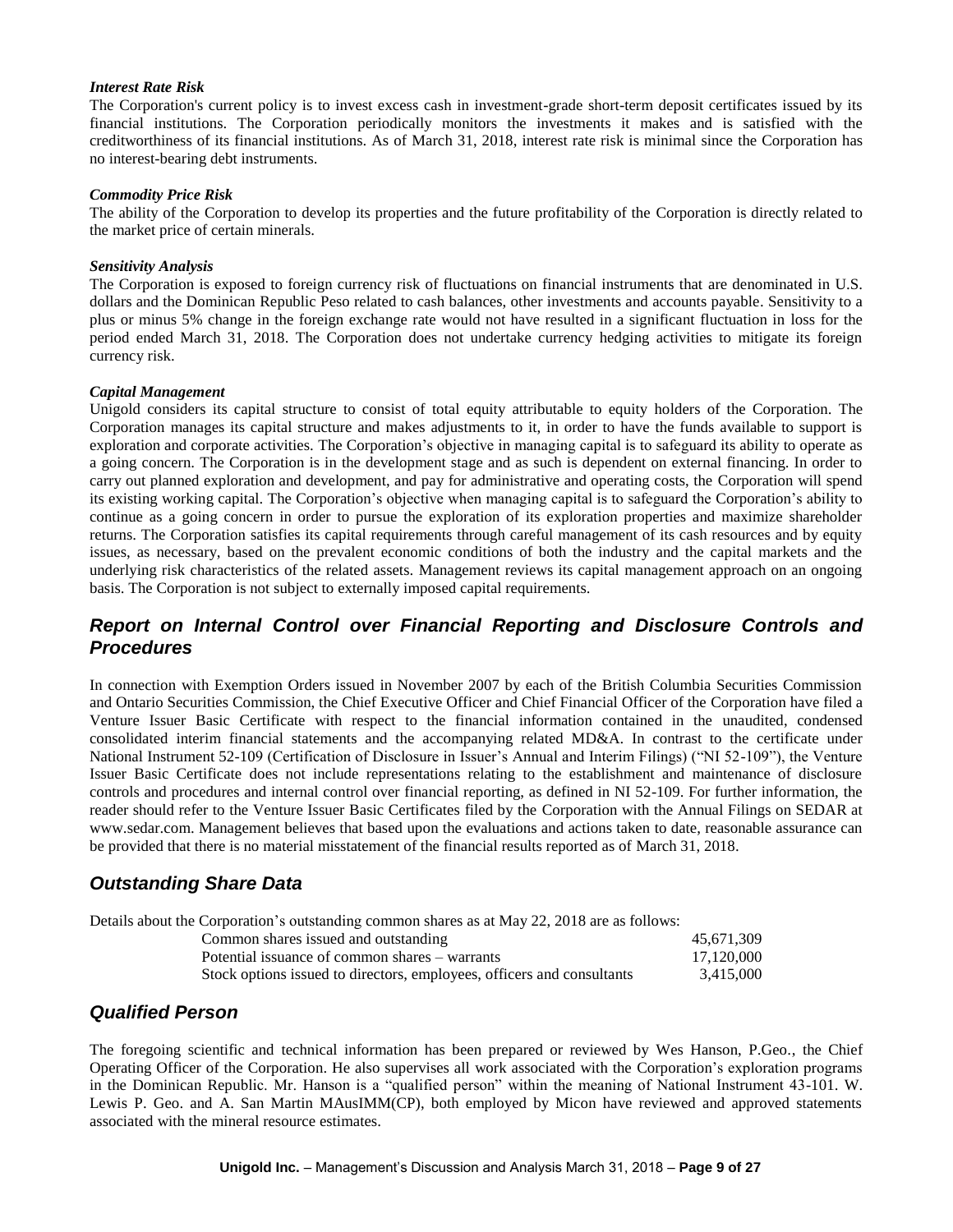#### *Interest Rate Risk*

The Corporation's current policy is to invest excess cash in investment-grade short-term deposit certificates issued by its financial institutions. The Corporation periodically monitors the investments it makes and is satisfied with the creditworthiness of its financial institutions. As of March 31, 2018, interest rate risk is minimal since the Corporation has no interest-bearing debt instruments.

#### *Commodity Price Risk*

The ability of the Corporation to develop its properties and the future profitability of the Corporation is directly related to the market price of certain minerals.

#### *Sensitivity Analysis*

The Corporation is exposed to foreign currency risk of fluctuations on financial instruments that are denominated in U.S. dollars and the Dominican Republic Peso related to cash balances, other investments and accounts payable. Sensitivity to a plus or minus 5% change in the foreign exchange rate would not have resulted in a significant fluctuation in loss for the period ended March 31, 2018. The Corporation does not undertake currency hedging activities to mitigate its foreign currency risk.

#### *Capital Management*

Unigold considers its capital structure to consist of total equity attributable to equity holders of the Corporation. The Corporation manages its capital structure and makes adjustments to it, in order to have the funds available to support is exploration and corporate activities. The Corporation's objective in managing capital is to safeguard its ability to operate as a going concern. The Corporation is in the development stage and as such is dependent on external financing. In order to carry out planned exploration and development, and pay for administrative and operating costs, the Corporation will spend its existing working capital. The Corporation's objective when managing capital is to safeguard the Corporation's ability to continue as a going concern in order to pursue the exploration of its exploration properties and maximize shareholder returns. The Corporation satisfies its capital requirements through careful management of its cash resources and by equity issues, as necessary, based on the prevalent economic conditions of both the industry and the capital markets and the underlying risk characteristics of the related assets. Management reviews its capital management approach on an ongoing basis. The Corporation is not subject to externally imposed capital requirements.

## *Report on Internal Control over Financial Reporting and Disclosure Controls and Procedures*

In connection with Exemption Orders issued in November 2007 by each of the British Columbia Securities Commission and Ontario Securities Commission, the Chief Executive Officer and Chief Financial Officer of the Corporation have filed a Venture Issuer Basic Certificate with respect to the financial information contained in the unaudited, condensed consolidated interim financial statements and the accompanying related MD&A. In contrast to the certificate under National Instrument 52-109 (Certification of Disclosure in Issuer's Annual and Interim Filings) ("NI 52-109"), the Venture Issuer Basic Certificate does not include representations relating to the establishment and maintenance of disclosure controls and procedures and internal control over financial reporting, as defined in NI 52-109. For further information, the reader should refer to the Venture Issuer Basic Certificates filed by the Corporation with the Annual Filings on SEDAR at www.sedar.com. Management believes that based upon the evaluations and actions taken to date, reasonable assurance can be provided that there is no material misstatement of the financial results reported as of March 31, 2018.

## *Outstanding Share Data*

| Details about the Corporation's outstanding common shares as at May 22, 2018 are as follows: |            |
|----------------------------------------------------------------------------------------------|------------|
| Common shares issued and outstanding                                                         | 45.671.309 |
| Potential issuance of common shares – warrants                                               | 17.120.000 |
| Stock options issued to directors, employees, officers and consultants                       | 3.415.000  |

### *Qualified Person*

The foregoing scientific and technical information has been prepared or reviewed by Wes Hanson, P.Geo., the Chief Operating Officer of the Corporation. He also supervises all work associated with the Corporation's exploration programs in the Dominican Republic. Mr. Hanson is a "qualified person" within the meaning of National Instrument 43-101. W. Lewis P. Geo. and A. San Martin MAusIMM(CP), both employed by Micon have reviewed and approved statements associated with the mineral resource estimates.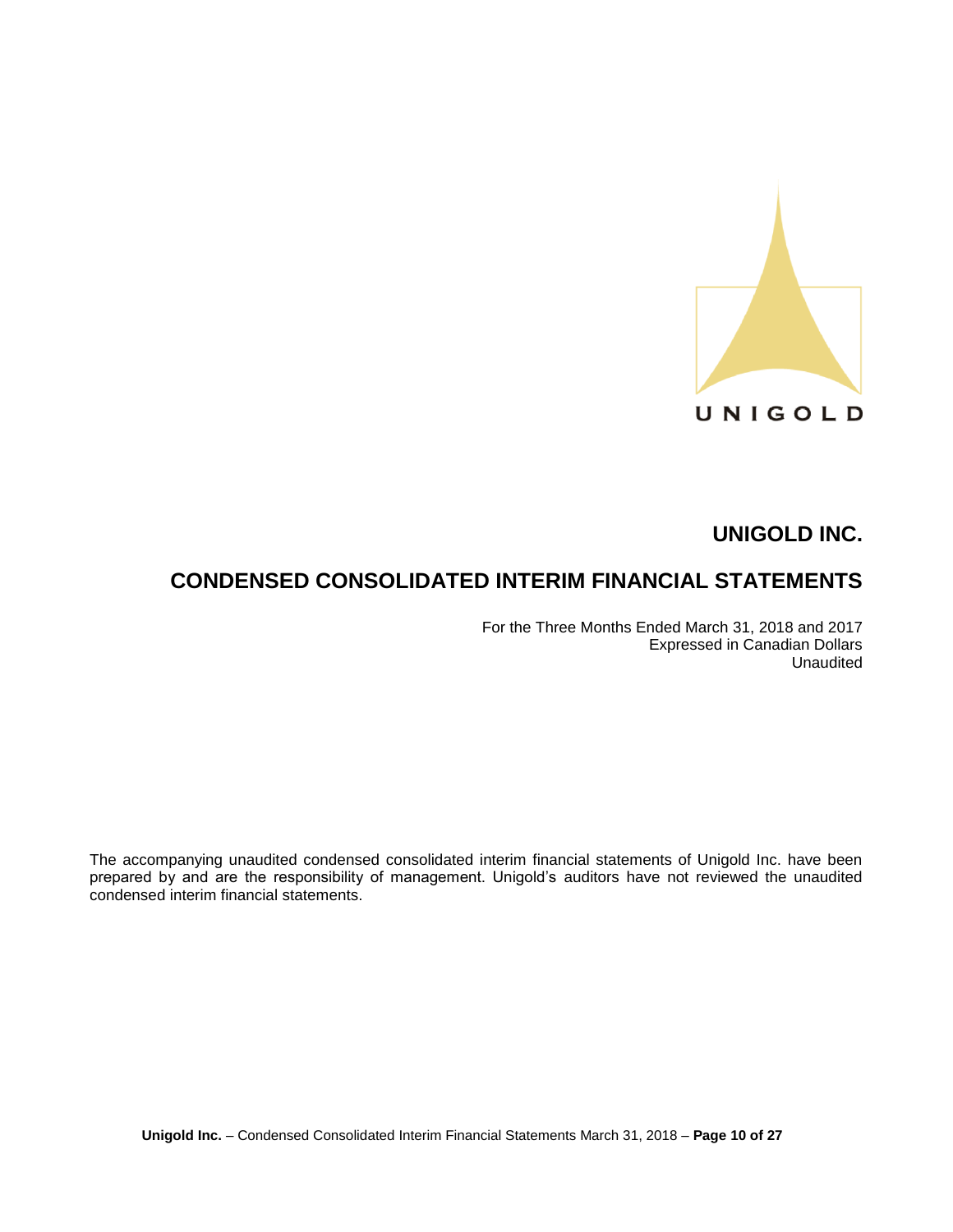

# **CONDENSED CONSOLIDATED INTERIM FINANCIAL STATEMENTS**

For the Three Months Ended March 31, 2018 and 2017 Expressed in Canadian Dollars Unaudited

The accompanying unaudited condensed consolidated interim financial statements of Unigold Inc. have been prepared by and are the responsibility of management. Unigold's auditors have not reviewed the unaudited condensed interim financial statements.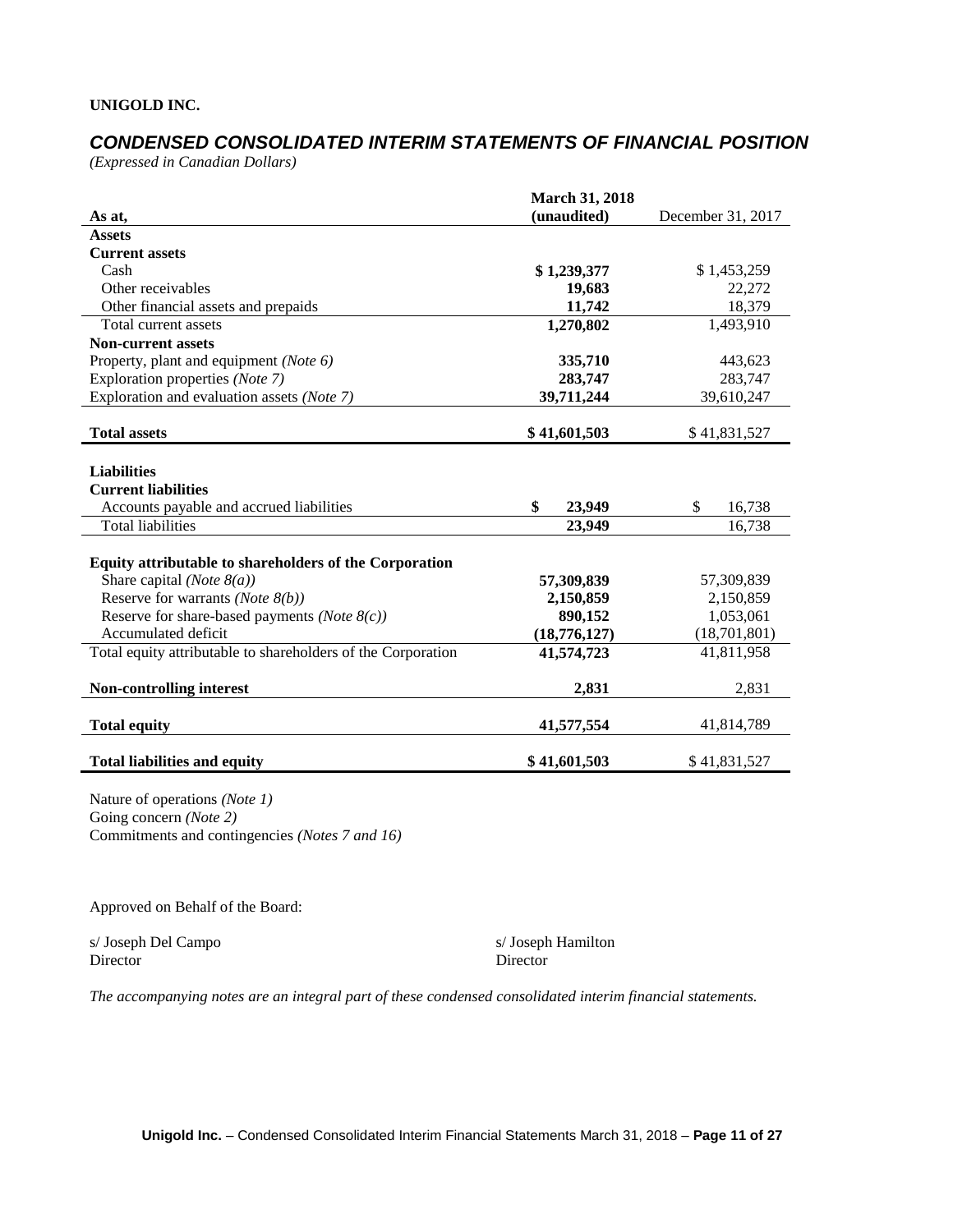# *CONDENSED CONSOLIDATED INTERIM STATEMENTS OF FINANCIAL POSITION*

*(Expressed in Canadian Dollars)*

|                                                              | <b>March 31, 2018</b> |                   |
|--------------------------------------------------------------|-----------------------|-------------------|
| As at,                                                       | (unaudited)           | December 31, 2017 |
| <b>Assets</b>                                                |                       |                   |
| <b>Current assets</b>                                        |                       |                   |
| Cash                                                         | \$1,239,377           | \$1,453,259       |
| Other receivables                                            | 19,683                | 22,272            |
| Other financial assets and prepaids                          | 11,742                | 18,379            |
| Total current assets                                         | 1,270,802             | 1,493,910         |
| <b>Non-current assets</b>                                    |                       |                   |
| Property, plant and equipment (Note 6)                       | 335,710               | 443,623           |
| Exploration properties (Note 7)                              | 283,747               | 283,747           |
| Exploration and evaluation assets (Note 7)                   | 39,711,244            | 39,610,247        |
|                                                              |                       |                   |
| <b>Total assets</b>                                          | \$41,601,503          | \$41,831,527      |
|                                                              |                       |                   |
| <b>Liabilities</b>                                           |                       |                   |
| <b>Current liabilities</b>                                   |                       |                   |
| Accounts payable and accrued liabilities                     | \$<br>23,949          | \$<br>16,738      |
| <b>Total liabilities</b>                                     | 23,949                | 16,738            |
|                                                              |                       |                   |
| Equity attributable to shareholders of the Corporation       |                       |                   |
| Share capital ( <i>Note</i> $8(a)$ )                         | 57,309,839            | 57,309,839        |
| Reserve for warrants ( <i>Note</i> $8(b)$ )                  | 2,150,859             | 2,150,859         |
| Reserve for share-based payments ( <i>Note</i> $8(c)$ )      | 890,152               | 1,053,061         |
| Accumulated deficit                                          | (18,776,127)          | (18,701,801)      |
| Total equity attributable to shareholders of the Corporation | 41,574,723            | 41,811,958        |
|                                                              |                       |                   |
| <b>Non-controlling interest</b>                              | 2,831                 | 2,831             |
|                                                              |                       |                   |
| <b>Total equity</b>                                          | 41,577,554            | 41,814,789        |
|                                                              |                       |                   |
| <b>Total liabilities and equity</b>                          | \$41,601,503          | \$41,831,527      |

Nature of operations *(Note 1)* Going concern *(Note 2)* Commitments and contingencies *(Notes 7 and 16)*

Approved on Behalf of the Board:

s/ Joseph Del Campo s/ Joseph Hamilton Director Director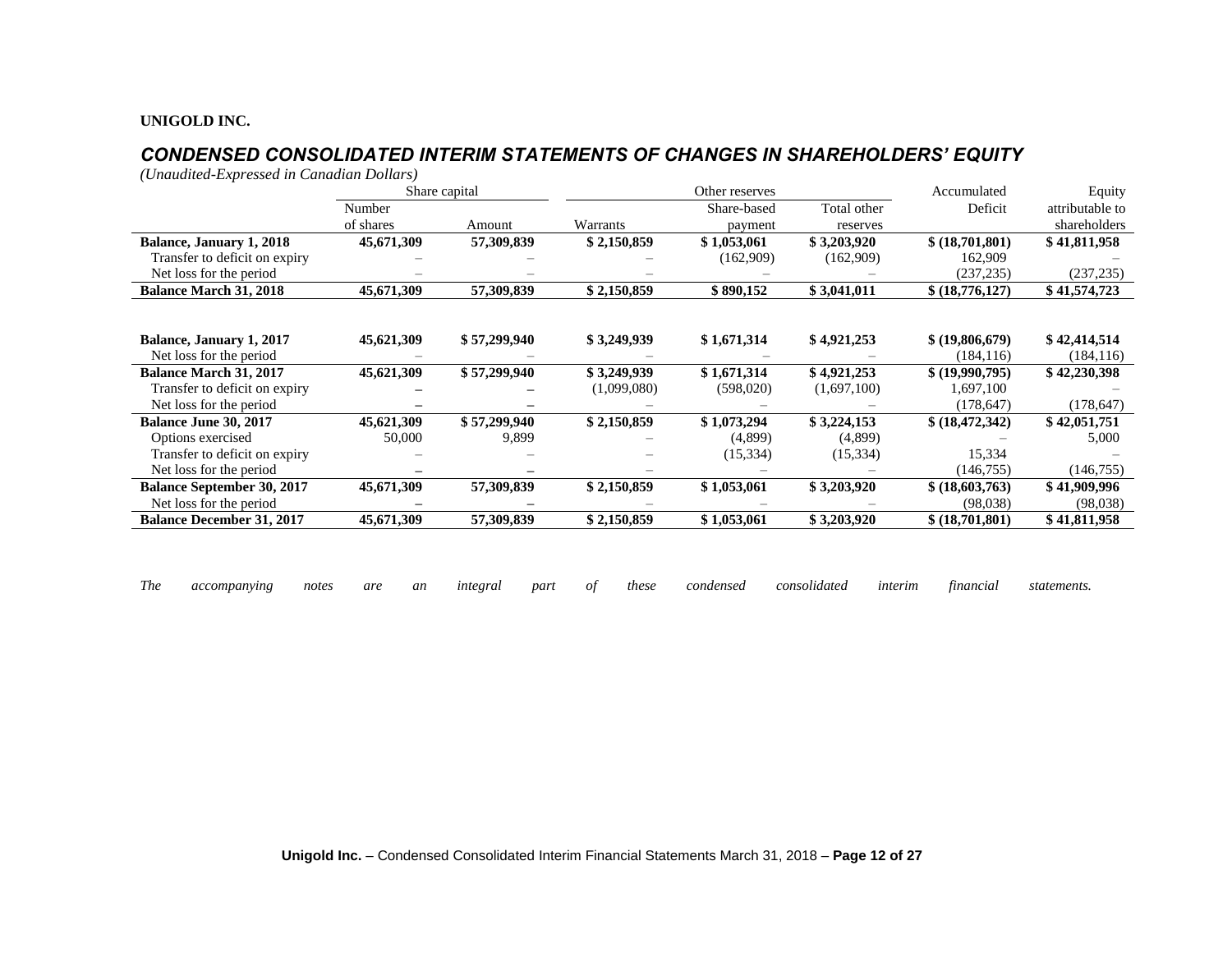# *CONDENSED CONSOLIDATED INTERIM STATEMENTS OF CHANGES IN SHAREHOLDERS' EQUITY*

*(Unaudited-Expressed in Canadian Dollars)*

|                                                     |            | Share capital |             | Other reserves |             | Accumulated                   | Equity                     |
|-----------------------------------------------------|------------|---------------|-------------|----------------|-------------|-------------------------------|----------------------------|
|                                                     | Number     |               |             | Share-based    | Total other | Deficit                       | attributable to            |
|                                                     | of shares  | Amount        | Warrants    | payment        | reserves    |                               | shareholders               |
| <b>Balance, January 1, 2018</b>                     | 45,671,309 | 57,309,839    | \$2,150,859 | \$1,053,061    | \$3,203,920 | \$ (18,701,801)               | \$41,811,958               |
| Transfer to deficit on expiry                       |            |               |             | (162,909)      | (162,909)   | 162,909                       |                            |
| Net loss for the period                             |            |               |             |                |             | (237, 235)                    | (237, 235)                 |
| <b>Balance March 31, 2018</b>                       | 45,671,309 | 57,309,839    | \$2,150,859 | \$890,152      | \$3,041,011 | \$ (18,776,127)               | \$41,574,723               |
|                                                     |            |               |             |                |             |                               |                            |
|                                                     |            |               |             |                |             |                               |                            |
| Balance, January 1, 2017<br>Net loss for the period | 45,621,309 | \$57,299,940  | \$3,249,939 | \$1,671,314    | \$4,921,253 | \$ (19,806,679)<br>(184, 116) | \$42,414,514<br>(184, 116) |
| <b>Balance March 31, 2017</b>                       | 45,621,309 | \$57,299,940  | \$3,249,939 | \$1,671,314    | \$4,921,253 | \$ (19,990,795)               | \$42,230,398               |
| Transfer to deficit on expiry                       |            |               | (1,099,080) | (598,020)      | (1,697,100) | 1,697,100                     |                            |
| Net loss for the period                             |            |               |             |                |             | (178, 647)                    | (178, 647)                 |
| <b>Balance June 30, 2017</b>                        | 45,621,309 | \$57,299,940  | \$2,150,859 | \$1,073,294    | \$3,224,153 | \$ (18, 472, 342)             | \$42,051,751               |
| Options exercised                                   | 50,000     | 9,899         |             | (4,899)        | (4,899)     |                               | 5,000                      |
| Transfer to deficit on expiry                       |            |               |             | (15, 334)      | (15, 334)   | 15,334                        |                            |
| Net loss for the period                             |            |               |             |                |             | (146, 755)                    | (146, 755)                 |
| <b>Balance September 30, 2017</b>                   | 45,671,309 | 57,309,839    | \$2,150,859 | \$1,053,061    | \$3,203,920 | \$ (18,603,763)               | \$41,909,996               |
| Net loss for the period                             |            |               |             |                |             | (98,038)                      | (98, 038)                  |
| <b>Balance December 31, 2017</b>                    | 45,671,309 | 57,309,839    | \$2,150,859 | \$1,053,061    | \$3,203,920 | \$ (18,701,801)               | \$41,811,958               |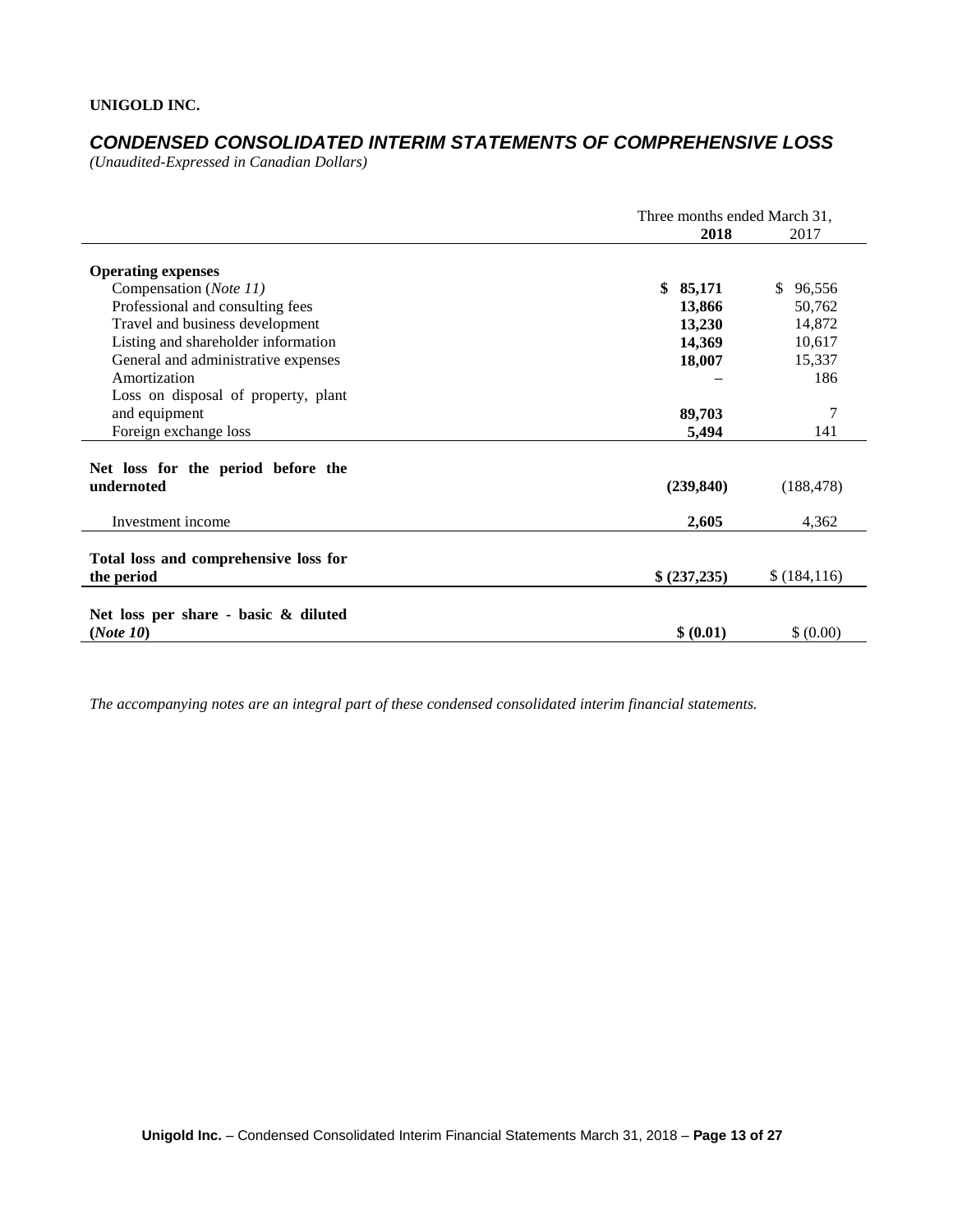# *CONDENSED CONSOLIDATED INTERIM STATEMENTS OF COMPREHENSIVE LOSS*

*(Unaudited-Expressed in Canadian Dollars)* 

|                                                     |             | Three months ended March 31, |  |  |
|-----------------------------------------------------|-------------|------------------------------|--|--|
|                                                     | 2018        | 2017                         |  |  |
| <b>Operating expenses</b>                           |             |                              |  |  |
| Compensation (Note 11)                              | \$85,171    | \$.<br>96,556                |  |  |
| Professional and consulting fees                    | 13,866      | 50,762                       |  |  |
| Travel and business development                     | 13,230      | 14,872                       |  |  |
| Listing and shareholder information                 | 14,369      | 10,617                       |  |  |
| General and administrative expenses                 | 18,007      | 15,337                       |  |  |
| Amortization                                        |             | 186                          |  |  |
| Loss on disposal of property, plant                 |             |                              |  |  |
| and equipment                                       | 89,703      | 7                            |  |  |
| Foreign exchange loss                               | 5,494       | 141                          |  |  |
| Net loss for the period before the                  |             |                              |  |  |
| undernoted                                          | (239, 840)  | (188, 478)                   |  |  |
| Investment income                                   | 2,605       | 4,362                        |  |  |
|                                                     |             |                              |  |  |
| Total loss and comprehensive loss for<br>the period | \$(237,235) | \$(184,116)                  |  |  |
|                                                     |             |                              |  |  |
| Net loss per share - basic & diluted                |             |                              |  |  |
| (Note 10)                                           | \$ (0.01)   | \$ (0.00)                    |  |  |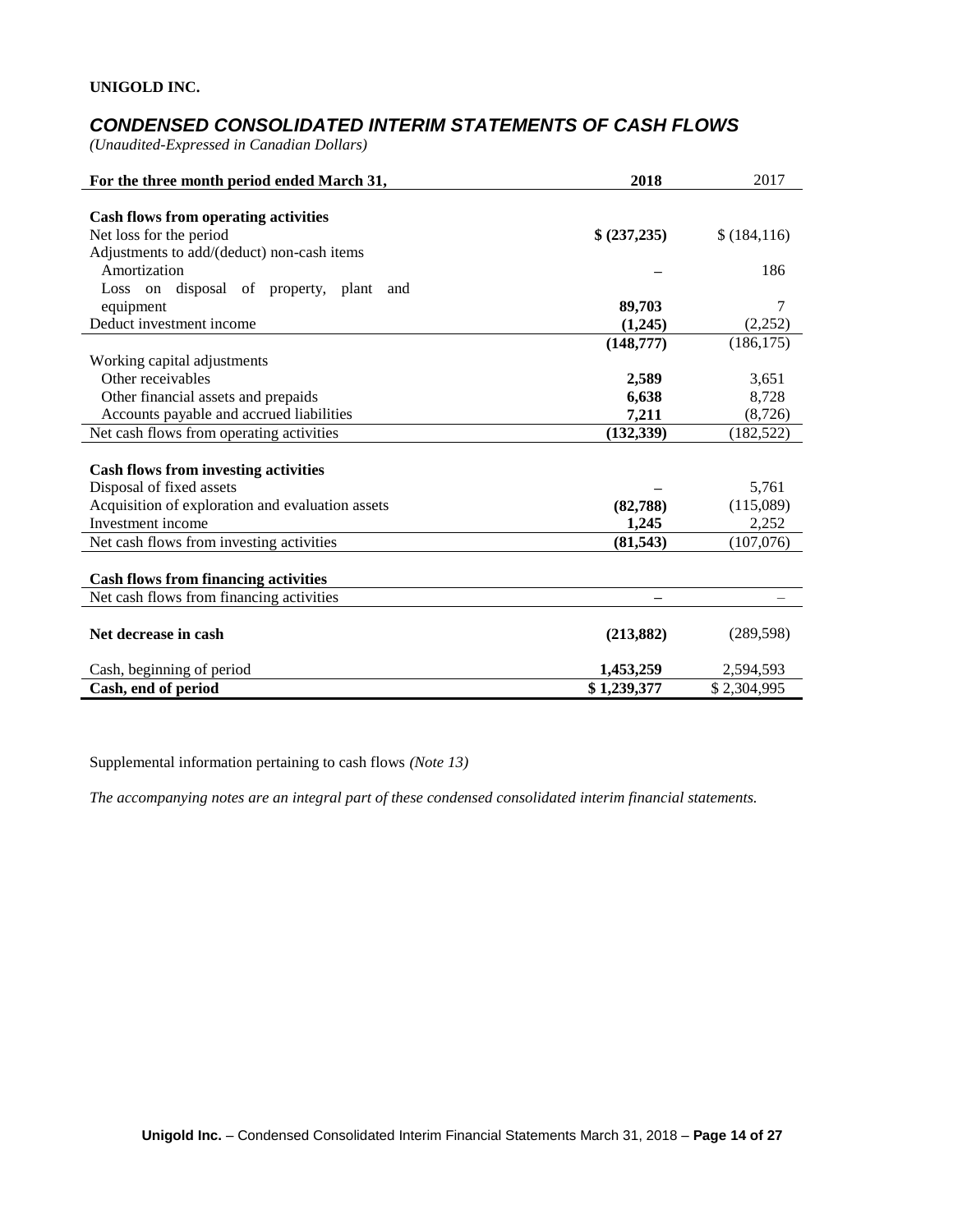# *CONDENSED CONSOLIDATED INTERIM STATEMENTS OF CASH FLOWS*

*(Unaudited-Expressed in Canadian Dollars)* 

| For the three month period ended March 31,       | 2018         | 2017        |
|--------------------------------------------------|--------------|-------------|
|                                                  |              |             |
| <b>Cash flows from operating activities</b>      |              |             |
| Net loss for the period                          | \$ (237,235) | \$(184,116) |
| Adjustments to add/(deduct) non-cash items       |              |             |
| Amortization                                     |              | 186         |
| Loss on disposal of property, plant and          |              |             |
| equipment                                        | 89,703       | 7           |
| Deduct investment income                         | (1,245)      | (2,252)     |
|                                                  | (148,777)    | (186, 175)  |
| Working capital adjustments                      |              |             |
| Other receivables                                | 2,589        | 3,651       |
| Other financial assets and prepaids              | 6,638        | 8,728       |
| Accounts payable and accrued liabilities         | 7,211        | (8,726)     |
| Net cash flows from operating activities         | (132, 339)   | (182, 522)  |
|                                                  |              |             |
| <b>Cash flows from investing activities</b>      |              |             |
| Disposal of fixed assets                         |              | 5,761       |
| Acquisition of exploration and evaluation assets | (82,788)     | (115,089)   |
| Investment income                                | 1,245        | 2,252       |
| Net cash flows from investing activities         | (81, 543)    | (107,076)   |
|                                                  |              |             |
| <b>Cash flows from financing activities</b>      |              |             |
| Net cash flows from financing activities         |              |             |
|                                                  |              |             |
| Net decrease in cash                             | (213, 882)   | (289, 598)  |
| Cash, beginning of period                        | 1,453,259    | 2,594,593   |
| Cash, end of period                              | \$1,239,377  | \$2,304,995 |

Supplemental information pertaining to cash flows *(Note 13)*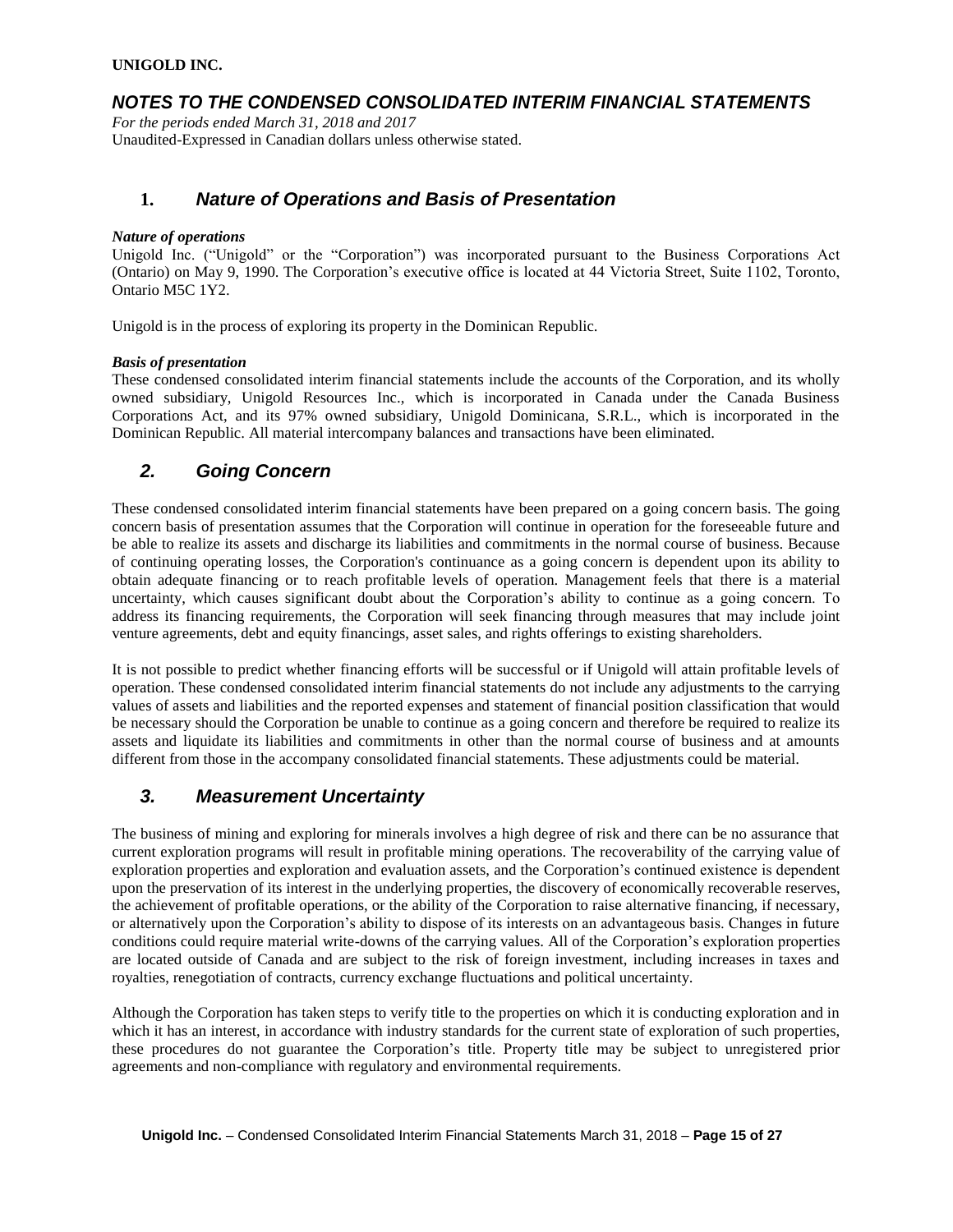# *NOTES TO THE CONDENSED CONSOLIDATED INTERIM FINANCIAL STATEMENTS*

*For the periods ended March 31, 2018 and 2017* Unaudited-Expressed in Canadian dollars unless otherwise stated.

## **1.** *Nature of Operations and Basis of Presentation*

#### *Nature of operations*

Unigold Inc. ("Unigold" or the "Corporation") was incorporated pursuant to the Business Corporations Act (Ontario) on May 9, 1990. The Corporation's executive office is located at 44 Victoria Street, Suite 1102, Toronto, Ontario M5C 1Y2.

Unigold is in the process of exploring its property in the Dominican Republic.

#### *Basis of presentation*

These condensed consolidated interim financial statements include the accounts of the Corporation, and its wholly owned subsidiary, Unigold Resources Inc., which is incorporated in Canada under the Canada Business Corporations Act, and its 97% owned subsidiary, Unigold Dominicana, S.R.L., which is incorporated in the Dominican Republic. All material intercompany balances and transactions have been eliminated.

# *2. Going Concern*

These condensed consolidated interim financial statements have been prepared on a going concern basis. The going concern basis of presentation assumes that the Corporation will continue in operation for the foreseeable future and be able to realize its assets and discharge its liabilities and commitments in the normal course of business. Because of continuing operating losses, the Corporation's continuance as a going concern is dependent upon its ability to obtain adequate financing or to reach profitable levels of operation. Management feels that there is a material uncertainty, which causes significant doubt about the Corporation's ability to continue as a going concern. To address its financing requirements, the Corporation will seek financing through measures that may include joint venture agreements, debt and equity financings, asset sales, and rights offerings to existing shareholders.

It is not possible to predict whether financing efforts will be successful or if Unigold will attain profitable levels of operation. These condensed consolidated interim financial statements do not include any adjustments to the carrying values of assets and liabilities and the reported expenses and statement of financial position classification that would be necessary should the Corporation be unable to continue as a going concern and therefore be required to realize its assets and liquidate its liabilities and commitments in other than the normal course of business and at amounts different from those in the accompany consolidated financial statements. These adjustments could be material.

## *3. Measurement Uncertainty*

The business of mining and exploring for minerals involves a high degree of risk and there can be no assurance that current exploration programs will result in profitable mining operations. The recoverability of the carrying value of exploration properties and exploration and evaluation assets, and the Corporation's continued existence is dependent upon the preservation of its interest in the underlying properties, the discovery of economically recoverable reserves, the achievement of profitable operations, or the ability of the Corporation to raise alternative financing, if necessary, or alternatively upon the Corporation's ability to dispose of its interests on an advantageous basis. Changes in future conditions could require material write-downs of the carrying values. All of the Corporation's exploration properties are located outside of Canada and are subject to the risk of foreign investment, including increases in taxes and royalties, renegotiation of contracts, currency exchange fluctuations and political uncertainty.

Although the Corporation has taken steps to verify title to the properties on which it is conducting exploration and in which it has an interest, in accordance with industry standards for the current state of exploration of such properties. these procedures do not guarantee the Corporation's title. Property title may be subject to unregistered prior agreements and non-compliance with regulatory and environmental requirements.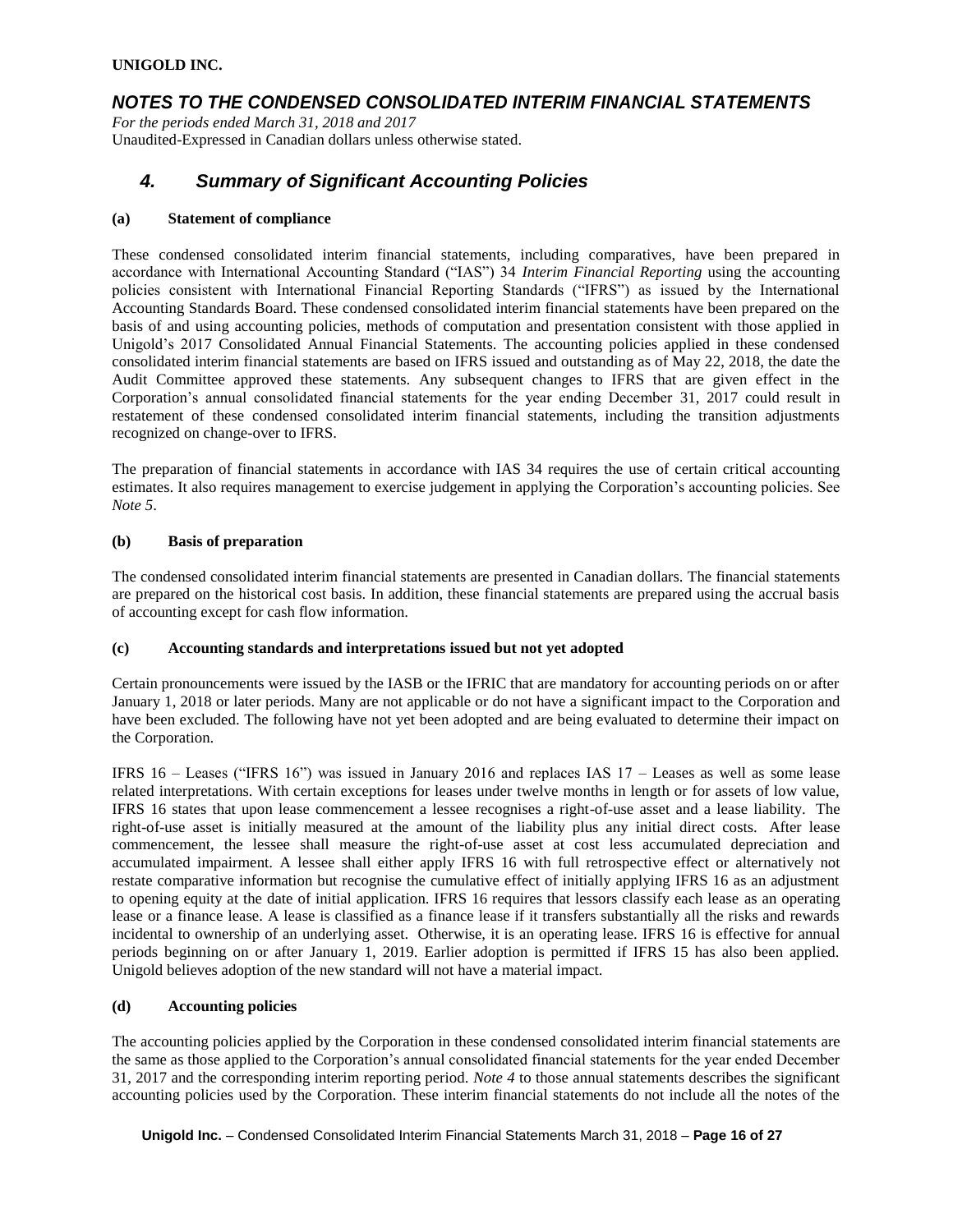# *NOTES TO THE CONDENSED CONSOLIDATED INTERIM FINANCIAL STATEMENTS*

*For the periods ended March 31, 2018 and 2017* Unaudited-Expressed in Canadian dollars unless otherwise stated.

# *4. Summary of Significant Accounting Policies*

#### **(a) Statement of compliance**

These condensed consolidated interim financial statements, including comparatives, have been prepared in accordance with International Accounting Standard ("IAS") 34 *Interim Financial Reporting* using the accounting policies consistent with International Financial Reporting Standards ("IFRS") as issued by the International Accounting Standards Board. These condensed consolidated interim financial statements have been prepared on the basis of and using accounting policies, methods of computation and presentation consistent with those applied in Unigold's 2017 Consolidated Annual Financial Statements. The accounting policies applied in these condensed consolidated interim financial statements are based on IFRS issued and outstanding as of May 22, 2018, the date the Audit Committee approved these statements. Any subsequent changes to IFRS that are given effect in the Corporation's annual consolidated financial statements for the year ending December 31, 2017 could result in restatement of these condensed consolidated interim financial statements, including the transition adjustments recognized on change-over to IFRS.

The preparation of financial statements in accordance with IAS 34 requires the use of certain critical accounting estimates. It also requires management to exercise judgement in applying the Corporation's accounting policies. See *Note 5*.

#### **(b) Basis of preparation**

The condensed consolidated interim financial statements are presented in Canadian dollars. The financial statements are prepared on the historical cost basis. In addition, these financial statements are prepared using the accrual basis of accounting except for cash flow information.

### **(c) Accounting standards and interpretations issued but not yet adopted**

Certain pronouncements were issued by the IASB or the IFRIC that are mandatory for accounting periods on or after January 1, 2018 or later periods. Many are not applicable or do not have a significant impact to the Corporation and have been excluded. The following have not yet been adopted and are being evaluated to determine their impact on the Corporation.

IFRS 16 – Leases ("IFRS 16") was issued in January 2016 and replaces IAS 17 – Leases as well as some lease related interpretations. With certain exceptions for leases under twelve months in length or for assets of low value, IFRS 16 states that upon lease commencement a lessee recognises a right-of-use asset and a lease liability. The right-of-use asset is initially measured at the amount of the liability plus any initial direct costs. After lease commencement, the lessee shall measure the right-of-use asset at cost less accumulated depreciation and accumulated impairment. A lessee shall either apply IFRS 16 with full retrospective effect or alternatively not restate comparative information but recognise the cumulative effect of initially applying IFRS 16 as an adjustment to opening equity at the date of initial application. IFRS 16 requires that lessors classify each lease as an operating lease or a finance lease. A lease is classified as a finance lease if it transfers substantially all the risks and rewards incidental to ownership of an underlying asset. Otherwise, it is an operating lease. IFRS 16 is effective for annual periods beginning on or after January 1, 2019. Earlier adoption is permitted if IFRS 15 has also been applied. Unigold believes adoption of the new standard will not have a material impact.

### **(d) Accounting policies**

The accounting policies applied by the Corporation in these condensed consolidated interim financial statements are the same as those applied to the Corporation's annual consolidated financial statements for the year ended December 31, 2017 and the corresponding interim reporting period. *Note 4* to those annual statements describes the significant accounting policies used by the Corporation. These interim financial statements do not include all the notes of the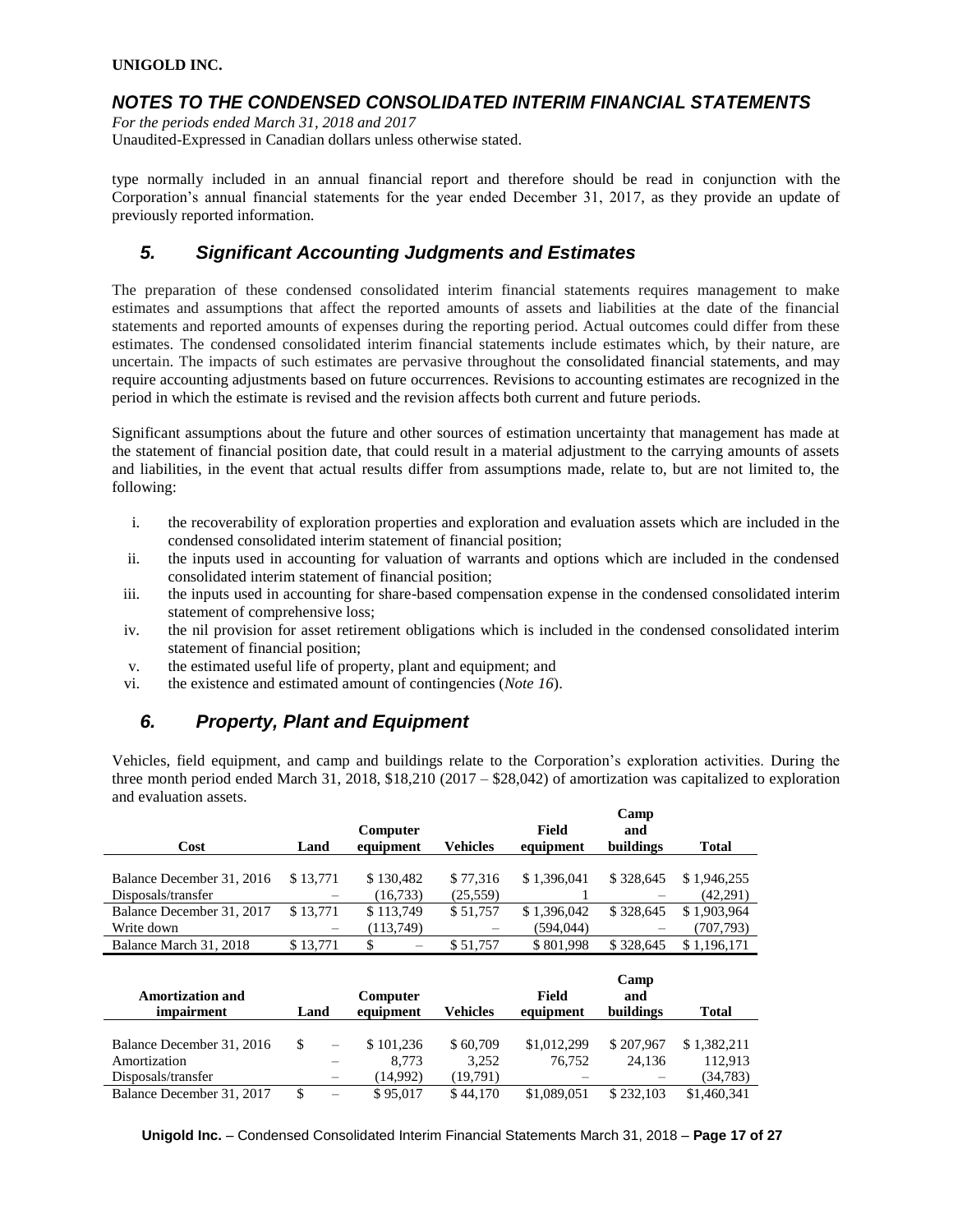## *NOTES TO THE CONDENSED CONSOLIDATED INTERIM FINANCIAL STATEMENTS*

*For the periods ended March 31, 2018 and 2017* Unaudited-Expressed in Canadian dollars unless otherwise stated.

type normally included in an annual financial report and therefore should be read in conjunction with the Corporation's annual financial statements for the year ended December 31, 2017, as they provide an update of previously reported information.

# *5. Significant Accounting Judgments and Estimates*

The preparation of these condensed consolidated interim financial statements requires management to make estimates and assumptions that affect the reported amounts of assets and liabilities at the date of the financial statements and reported amounts of expenses during the reporting period. Actual outcomes could differ from these estimates. The condensed consolidated interim financial statements include estimates which, by their nature, are uncertain. The impacts of such estimates are pervasive throughout the consolidated financial statements, and may require accounting adjustments based on future occurrences. Revisions to accounting estimates are recognized in the period in which the estimate is revised and the revision affects both current and future periods.

Significant assumptions about the future and other sources of estimation uncertainty that management has made at the statement of financial position date, that could result in a material adjustment to the carrying amounts of assets and liabilities, in the event that actual results differ from assumptions made, relate to, but are not limited to, the following:

- i. the recoverability of exploration properties and exploration and evaluation assets which are included in the condensed consolidated interim statement of financial position;
- ii. the inputs used in accounting for valuation of warrants and options which are included in the condensed consolidated interim statement of financial position;
- iii. the inputs used in accounting for share-based compensation expense in the condensed consolidated interim statement of comprehensive loss;
- iv. the nil provision for asset retirement obligations which is included in the condensed consolidated interim statement of financial position;
- v. the estimated useful life of property, plant and equipment; and
- vi. the existence and estimated amount of contingencies (*Note 16*).

# *6. Property, Plant and Equipment*

Vehicles, field equipment, and camp and buildings relate to the Corporation's exploration activities. During the three month period ended March 31, 2018, \$18,210 (2017 – \$28,042) of amortization was capitalized to exploration and evaluation assets.

| Cost                      | Land            | Computer<br>equipment          | Vehicles | Field<br>equipment | Camp<br>and<br>buildings | Total       |
|---------------------------|-----------------|--------------------------------|----------|--------------------|--------------------------|-------------|
| Balance December 31, 2016 | \$13.771        | \$130.482                      | \$77,316 | \$1,396,041        | \$328,645                | \$1,946,255 |
| Disposals/transfer        |                 | (16, 733)                      | (25,559) |                    |                          | (42,291)    |
| Balance December 31, 2017 | \$13.771        | \$113,749                      | \$51,757 | \$1,396,042        | \$328,645                | \$1,903,964 |
| Write down                | $\qquad \qquad$ | (113,749)                      |          | (594, 044)         |                          | (707, 793)  |
| Balance March 31, 2018    | \$13.771        | \$<br>$\overline{\phantom{0}}$ | \$51,757 | \$801.998          | \$328,645                | \$1,196,171 |

| <b>Amortization and</b><br><i>impairment</i> | Land |                          | Computer<br>equipment | <b>Vehicles</b>   | Field<br>equipment | Camp<br>and<br>buildings | Total               |
|----------------------------------------------|------|--------------------------|-----------------------|-------------------|--------------------|--------------------------|---------------------|
| Balance December 31, 2016                    | \$   |                          | \$101.236             | \$60,709          | \$1,012,299        | \$207,967                | \$1,382,211         |
| Amortization<br>Disposals/transfer           |      |                          | 8.773<br>(14.992)     | 3.252<br>(19.791) | 76.752             | 24.136                   | 112.913<br>(34,783) |
| Balance December 31, 2017                    |      | $\overline{\phantom{0}}$ | \$95,017              | \$44,170          | \$1,089,051        | \$232,103                | \$1,460,341         |

**Unigold Inc.** – Condensed Consolidated Interim Financial Statements March 31, 2018 – **Page 17 of 27**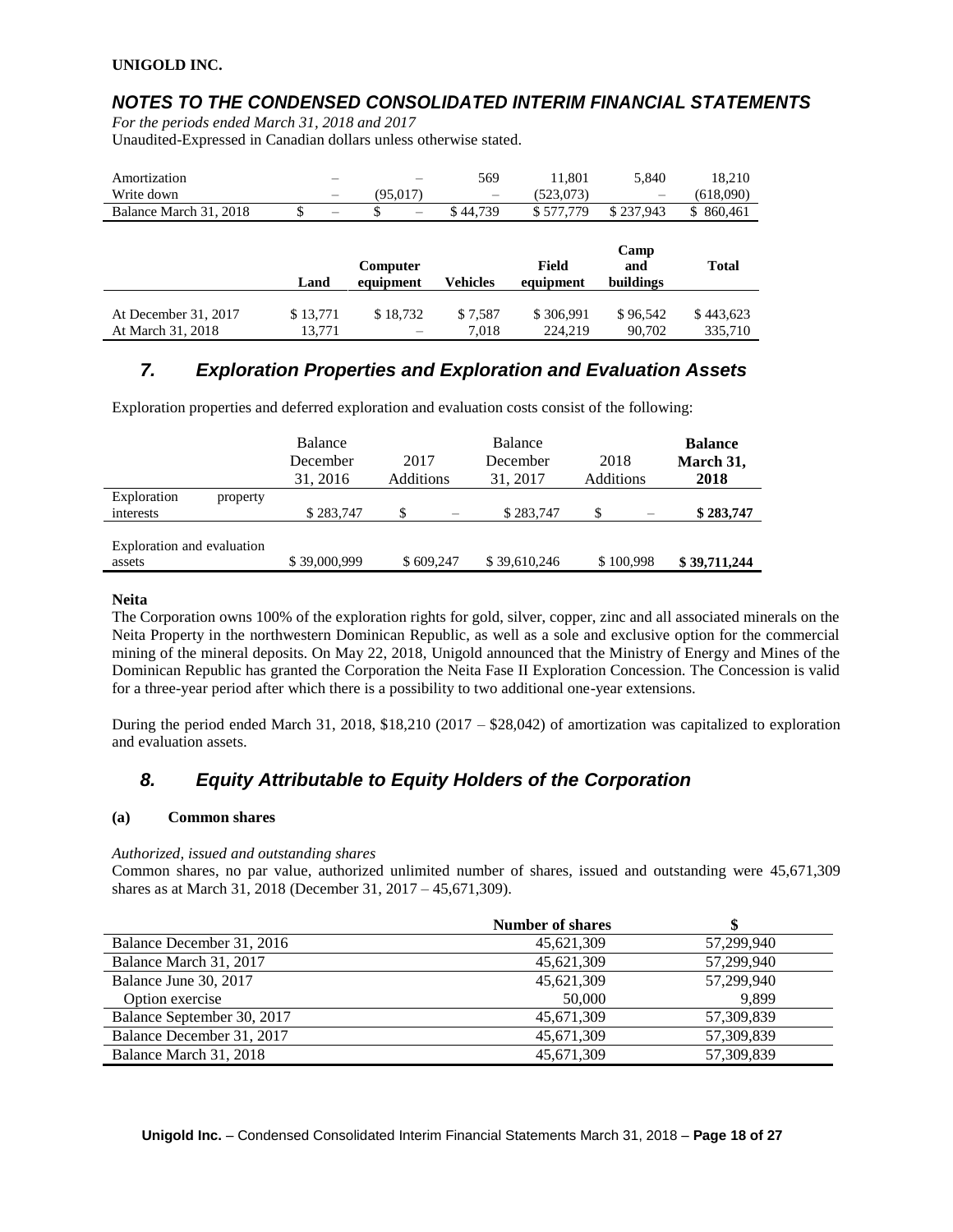# *NOTES TO THE CONDENSED CONSOLIDATED INTERIM FINANCIAL STATEMENTS*

*For the periods ended March 31, 2018 and 2017* Unaudited-Expressed in Canadian dollars unless otherwise stated.

| Amortization<br>Write down | -                               | (95,017)              | 569<br>$\overline{\phantom{0}}$ | 11,801<br>(523,073) | 5.840                    | 18,210<br>(618,090) |
|----------------------------|---------------------------------|-----------------------|---------------------------------|---------------------|--------------------------|---------------------|
| Balance March 31, 2018     | \$.<br>$\overline{\phantom{0}}$ |                       | \$44,739                        | \$577,779           | \$237,943                | \$860,461           |
|                            |                                 |                       |                                 |                     |                          |                     |
|                            | Land                            | Computer<br>equipment | <b>Vehicles</b>                 | Field<br>equipment  | Camp<br>and<br>buildings | <b>Total</b>        |

# *7. Exploration Properties and Exploration and Evaluation Assets*

Exploration properties and deferred exploration and evaluation costs consist of the following:

|                                      | Balance<br>December<br>31, 2016 | 2017<br><b>Additions</b> | Balance<br>December<br>31, 2017 | 2018<br><b>Additions</b> | <b>Balance</b><br>March 31,<br>2018 |
|--------------------------------------|---------------------------------|--------------------------|---------------------------------|--------------------------|-------------------------------------|
| Exploration<br>property<br>interests | \$283,747                       | S                        | \$283,747                       | \$                       | \$283,747                           |
| Exploration and evaluation<br>assets | \$39,000,999                    | \$609,247                | \$39,610,246                    | \$100,998                | \$39,711,244                        |

### **Neita**

The Corporation owns 100% of the exploration rights for gold, silver, copper, zinc and all associated minerals on the Neita Property in the northwestern Dominican Republic, as well as a sole and exclusive option for the commercial mining of the mineral deposits. On May 22, 2018, Unigold announced that the Ministry of Energy and Mines of the Dominican Republic has granted the Corporation the Neita Fase II Exploration Concession. The Concession is valid for a three-year period after which there is a possibility to two additional one-year extensions.

During the period ended March 31, 2018, \$18,210 (2017 – \$28,042) of amortization was capitalized to exploration and evaluation assets.

# *8. Equity Attributable to Equity Holders of the Corporation*

### **(a) Common shares**

*Authorized, issued and outstanding shares*

Common shares, no par value, authorized unlimited number of shares, issued and outstanding were 45,671,309 shares as at March 31, 2018 (December 31, 2017 – 45,671,309).

|                            | <b>Number of shares</b> |            |
|----------------------------|-------------------------|------------|
| Balance December 31, 2016  | 45,621,309              | 57.299.940 |
| Balance March 31, 2017     | 45,621,309              | 57,299,940 |
| Balance June 30, 2017      | 45,621,309              | 57,299,940 |
| Option exercise            | 50,000                  | 9.899      |
| Balance September 30, 2017 | 45,671,309              | 57,309,839 |
| Balance December 31, 2017  | 45,671,309              | 57,309,839 |
| Balance March 31, 2018     | 45.671.309              | 57.309.839 |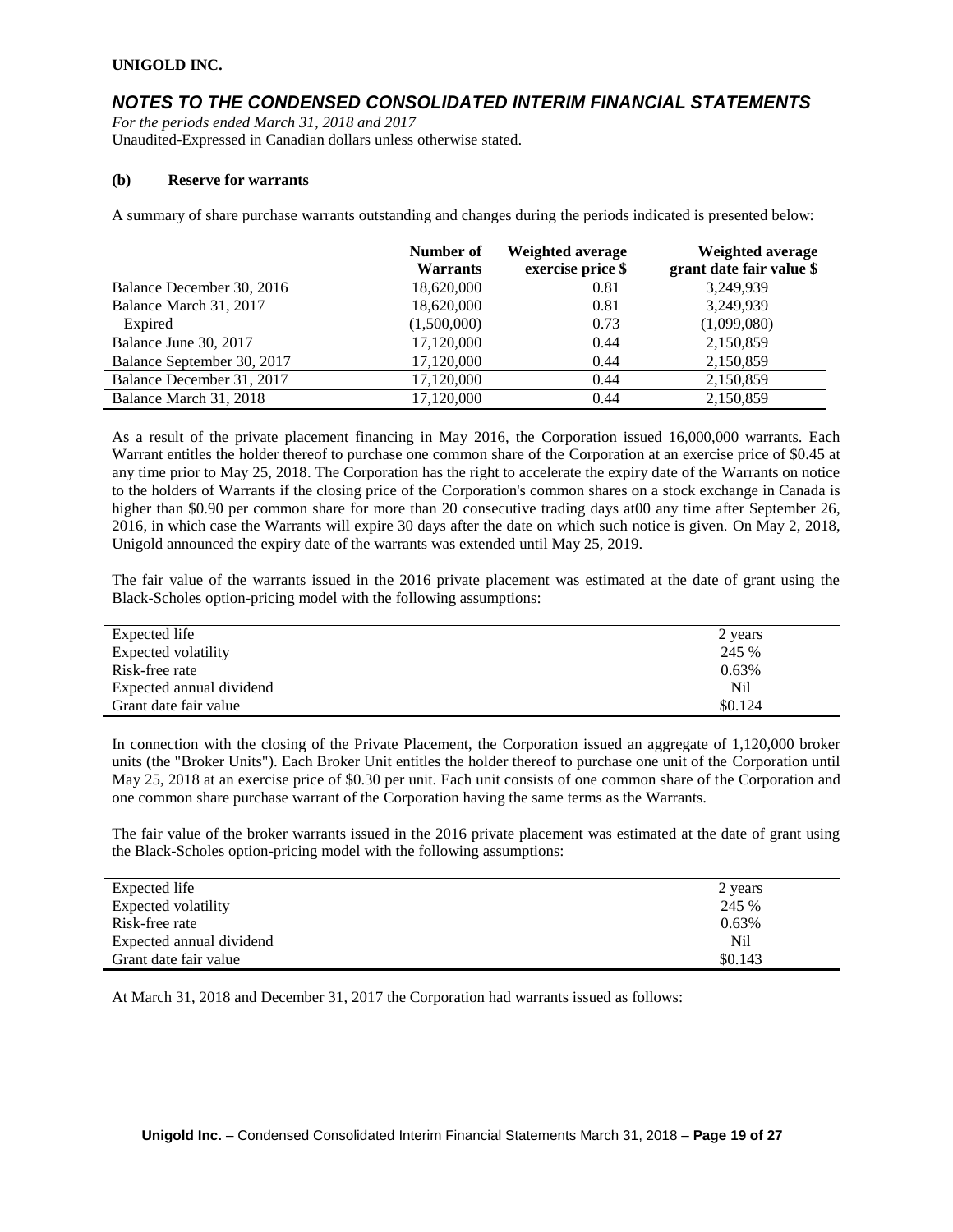## *NOTES TO THE CONDENSED CONSOLIDATED INTERIM FINANCIAL STATEMENTS*

*For the periods ended March 31, 2018 and 2017* Unaudited-Expressed in Canadian dollars unless otherwise stated.

#### **(b) Reserve for warrants**

A summary of share purchase warrants outstanding and changes during the periods indicated is presented below:

|                            | Number of<br><b>Warrants</b> | Weighted average<br>exercise price \$ | Weighted average<br>grant date fair value \$ |
|----------------------------|------------------------------|---------------------------------------|----------------------------------------------|
| Balance December 30, 2016  | 18,620,000                   | 0.81                                  | 3,249,939                                    |
| Balance March 31, 2017     | 18,620,000                   | 0.81                                  | 3,249,939                                    |
| Expired                    | (1,500,000)                  | 0.73                                  | (1,099,080)                                  |
| Balance June 30, 2017      | 17,120,000                   | 0.44                                  | 2,150,859                                    |
| Balance September 30, 2017 | 17,120,000                   | 0.44                                  | 2,150,859                                    |
| Balance December 31, 2017  | 17,120,000                   | 0.44                                  | 2,150,859                                    |
| Balance March 31, 2018     | 17,120,000                   | 0.44                                  | 2,150,859                                    |

As a result of the private placement financing in May 2016, the Corporation issued 16,000,000 warrants. Each Warrant entitles the holder thereof to purchase one common share of the Corporation at an exercise price of \$0.45 at any time prior to May 25, 2018. The Corporation has the right to accelerate the expiry date of the Warrants on notice to the holders of Warrants if the closing price of the Corporation's common shares on a stock exchange in Canada is higher than \$0.90 per common share for more than 20 consecutive trading days at00 any time after September 26, 2016, in which case the Warrants will expire 30 days after the date on which such notice is given. On May 2, 2018, Unigold announced the expiry date of the warrants was extended until May 25, 2019.

The fair value of the warrants issued in the 2016 private placement was estimated at the date of grant using the Black-Scholes option-pricing model with the following assumptions:

| Expected life            | 2 years |
|--------------------------|---------|
| Expected volatility      | 245 %   |
| Risk-free rate           | 0.63%   |
| Expected annual dividend | Nil     |
| Grant date fair value    | \$0.124 |

In connection with the closing of the Private Placement, the Corporation issued an aggregate of 1,120,000 broker units (the "Broker Units"). Each Broker Unit entitles the holder thereof to purchase one unit of the Corporation until May 25, 2018 at an exercise price of \$0.30 per unit. Each unit consists of one common share of the Corporation and one common share purchase warrant of the Corporation having the same terms as the Warrants.

The fair value of the broker warrants issued in the 2016 private placement was estimated at the date of grant using the Black-Scholes option-pricing model with the following assumptions:

| Expected life            | 2 years |
|--------------------------|---------|
| Expected volatility      | 245 %   |
| Risk-free rate           | 0.63%   |
| Expected annual dividend | Nil     |
| Grant date fair value    | \$0.143 |

At March 31, 2018 and December 31, 2017 the Corporation had warrants issued as follows: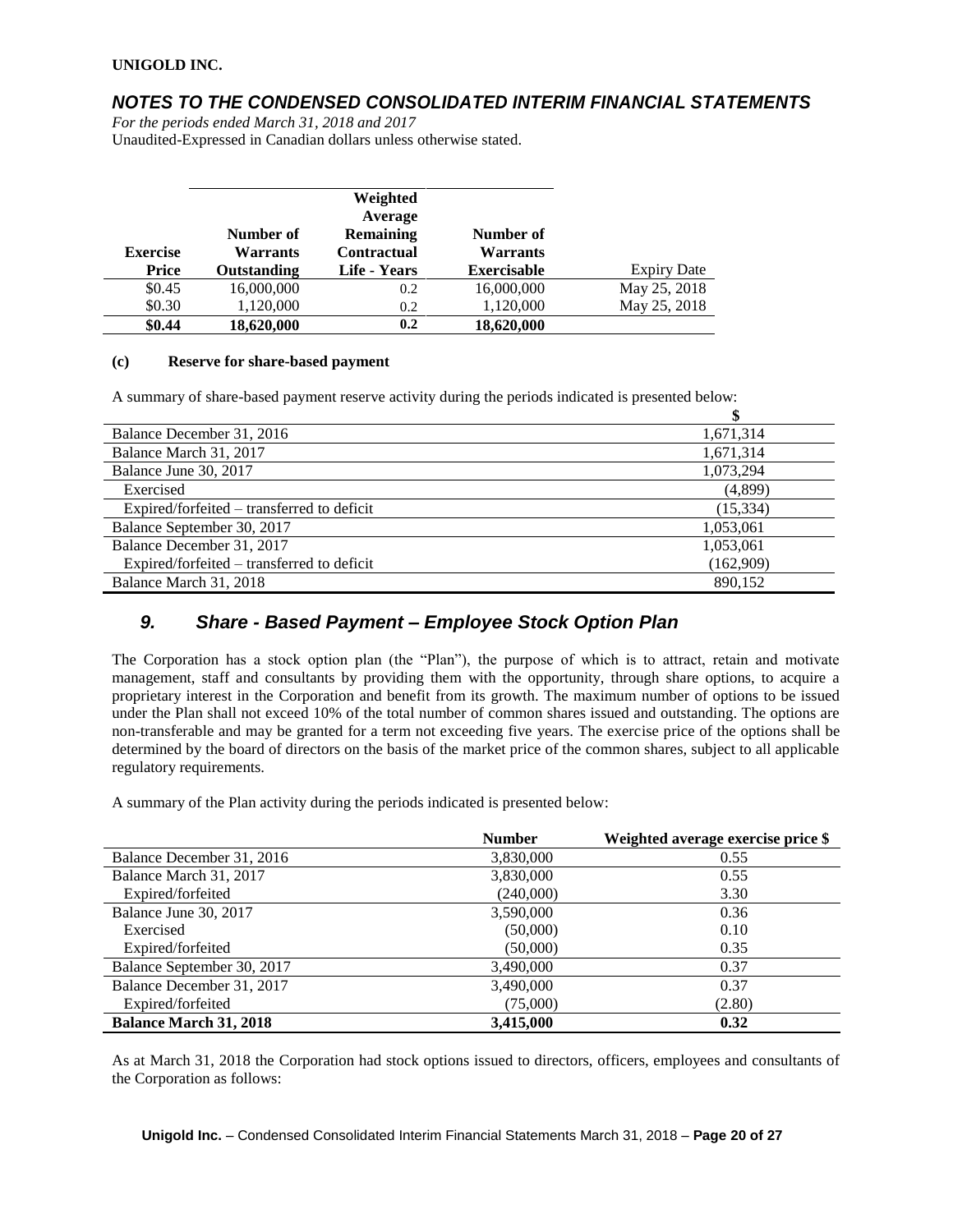### *NOTES TO THE CONDENSED CONSOLIDATED INTERIM FINANCIAL STATEMENTS*

*For the periods ended March 31, 2018 and 2017* Unaudited-Expressed in Canadian dollars unless otherwise stated.

| <b>Exercise</b> | Number of<br>Warrants | Weighted<br>Average<br><b>Remaining</b><br><b>Contractual</b> | Number of<br><b>Warrants</b> |                    |
|-----------------|-----------------------|---------------------------------------------------------------|------------------------------|--------------------|
| Price           | Outstanding           | Life - Years                                                  | <b>Exercisable</b>           | <b>Expiry Date</b> |
| \$0.45          | 16,000,000            | 0.2                                                           | 16,000,000                   | May 25, 2018       |
| \$0.30          | 1,120,000             | 0.2                                                           | 1,120,000                    | May 25, 2018       |
| \$0.44          | 18,620,000            | 0.2                                                           | 18,620,000                   |                    |

#### **(c) Reserve for share-based payment**

A summary of share-based payment reserve activity during the periods indicated is presented below:

| Balance December 31, 2016                  | 1,671,314 |
|--------------------------------------------|-----------|
| Balance March 31, 2017                     | 1,671,314 |
| Balance June 30, 2017                      | 1,073,294 |
| Exercised                                  | (4,899)   |
| Expired/forfeited – transferred to deficit | (15, 334) |
| Balance September 30, 2017                 | 1,053,061 |
| Balance December 31, 2017                  | 1,053,061 |
| Expired/forfeited – transferred to deficit | (162,909) |
| Balance March 31, 2018                     | 890.152   |

### *9. Share - Based Payment – Employee Stock Option Plan*

The Corporation has a stock option plan (the "Plan"), the purpose of which is to attract, retain and motivate management, staff and consultants by providing them with the opportunity, through share options, to acquire a proprietary interest in the Corporation and benefit from its growth. The maximum number of options to be issued under the Plan shall not exceed 10% of the total number of common shares issued and outstanding. The options are non-transferable and may be granted for a term not exceeding five years. The exercise price of the options shall be determined by the board of directors on the basis of the market price of the common shares, subject to all applicable regulatory requirements.

A summary of the Plan activity during the periods indicated is presented below:

|                               | <b>Number</b> | Weighted average exercise price \$ |
|-------------------------------|---------------|------------------------------------|
| Balance December 31, 2016     | 3,830,000     | 0.55                               |
| Balance March 31, 2017        | 3,830,000     | 0.55                               |
| Expired/forfeited             | (240,000)     | 3.30                               |
| Balance June 30, 2017         | 3,590,000     | 0.36                               |
| Exercised                     | (50,000)      | 0.10                               |
| Expired/forfeited             | (50,000)      | 0.35                               |
| Balance September 30, 2017    | 3,490,000     | 0.37                               |
| Balance December 31, 2017     | 3,490,000     | 0.37                               |
| Expired/forfeited             | (75,000)      | (2.80)                             |
| <b>Balance March 31, 2018</b> | 3,415,000     | 0.32                               |

As at March 31, 2018 the Corporation had stock options issued to directors, officers, employees and consultants of the Corporation as follows:

**Unigold Inc.** – Condensed Consolidated Interim Financial Statements March 31, 2018 – **Page 20 of 27**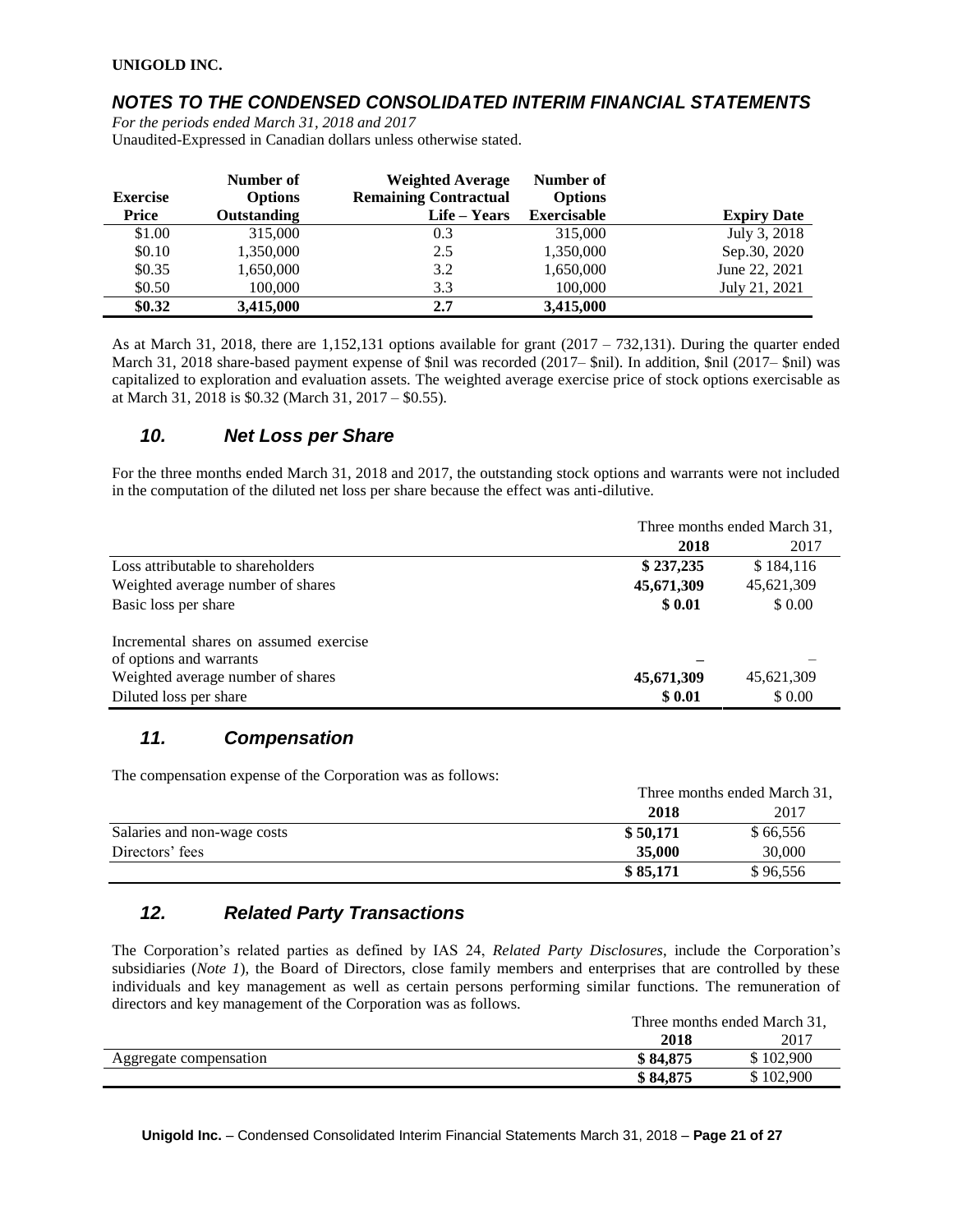# *NOTES TO THE CONDENSED CONSOLIDATED INTERIM FINANCIAL STATEMENTS*

*For the periods ended March 31, 2018 and 2017* Unaudited-Expressed in Canadian dollars unless otherwise stated.

| <b>Exercise</b><br>Price | Number of<br><b>Options</b><br>Outstanding | <b>Weighted Average</b><br><b>Remaining Contractual</b><br>Life – Years | Number of<br><b>Options</b><br><b>Exercisable</b> | <b>Expiry Date</b> |
|--------------------------|--------------------------------------------|-------------------------------------------------------------------------|---------------------------------------------------|--------------------|
| \$1.00                   | 315,000                                    | 0.3                                                                     | 315,000                                           | July 3, 2018       |
| \$0.10                   | 1,350,000                                  | 2.5                                                                     | 1,350,000                                         | Sep.30, 2020       |
| \$0.35                   | 1,650,000                                  | 3.2                                                                     | 1,650,000                                         | June 22, 2021      |
| \$0.50                   | 100,000                                    | 3.3                                                                     | 100,000                                           | July 21, 2021      |
| \$0.32                   | 3,415,000                                  | 2.7                                                                     | 3,415,000                                         |                    |

As at March 31, 2018, there are 1,152,131 options available for grant  $(2017 - 732,131)$ . During the quarter ended March 31, 2018 share-based payment expense of \$nil was recorded (2017– \$nil). In addition, \$nil (2017– \$nil) was capitalized to exploration and evaluation assets. The weighted average exercise price of stock options exercisable as at March 31, 2018 is \$0.32 (March 31, 2017 – \$0.55).

## *10. Net Loss per Share*

For the three months ended March 31, 2018 and 2017, the outstanding stock options and warrants were not included in the computation of the diluted net loss per share because the effect was anti-dilutive.

|                                        | Three months ended March 31, |            |  |
|----------------------------------------|------------------------------|------------|--|
|                                        | 2018                         | 2017       |  |
| Loss attributable to shareholders      | \$237,235                    | \$184,116  |  |
| Weighted average number of shares      | 45,671,309                   | 45,621,309 |  |
| Basic loss per share                   | \$0.01                       | \$0.00     |  |
| Incremental shares on assumed exercise |                              |            |  |
| of options and warrants                |                              |            |  |
| Weighted average number of shares      | 45,671,309                   | 45,621,309 |  |
| Diluted loss per share                 | \$0.01                       | \$0.00     |  |

# *11. Compensation*

The compensation expense of the Corporation was as follows:

|                             | Three months ended March 31, |          |
|-----------------------------|------------------------------|----------|
|                             | 2018                         | 2017     |
| Salaries and non-wage costs | \$50,171                     | \$66,556 |
| Directors' fees             | 35,000                       | 30,000   |
|                             | \$85,171                     | \$96,556 |

# *12. Related Party Transactions*

The Corporation's related parties as defined by IAS 24, *Related Party Disclosures*, include the Corporation's subsidiaries (*Note 1*), the Board of Directors, close family members and enterprises that are controlled by these individuals and key management as well as certain persons performing similar functions. The remuneration of directors and key management of the Corporation was as follows.

|                        | Three months ended March 31, |         |
|------------------------|------------------------------|---------|
|                        | 2018                         | 2017    |
| Aggregate compensation | \$84,875                     | 102,900 |
|                        | \$84,875                     | 102,900 |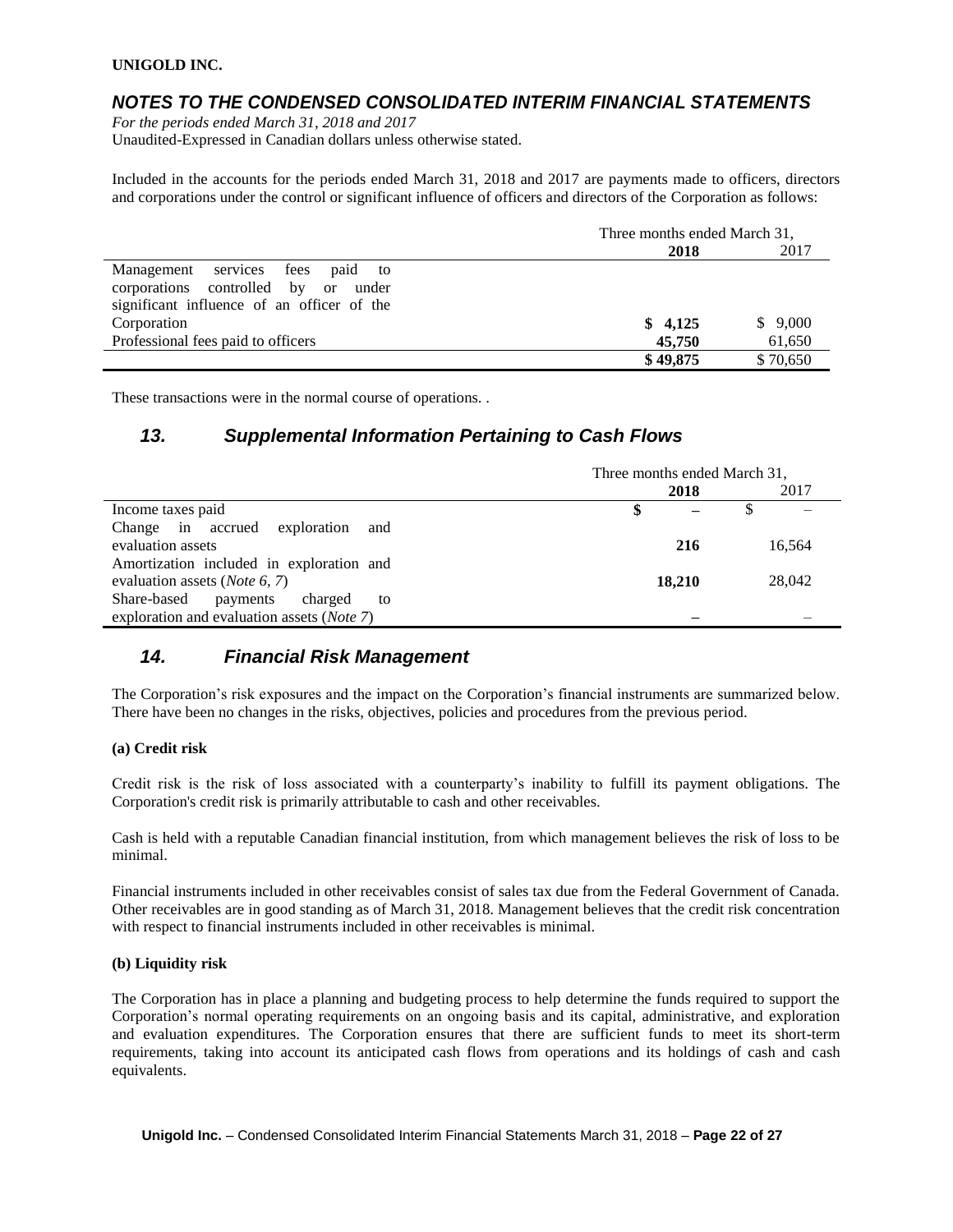## *NOTES TO THE CONDENSED CONSOLIDATED INTERIM FINANCIAL STATEMENTS*

*For the periods ended March 31, 2018 and 2017* Unaudited-Expressed in Canadian dollars unless otherwise stated.

Included in the accounts for the periods ended March 31, 2018 and 2017 are payments made to officers, directors and corporations under the control or significant influence of officers and directors of the Corporation as follows:

|                                            | Three months ended March 31, |          |
|--------------------------------------------|------------------------------|----------|
|                                            | 2018                         | 2017     |
| Management services fees<br>paid to        |                              |          |
| corporations controlled by or<br>under     |                              |          |
| significant influence of an officer of the |                              |          |
| Corporation                                | \$4,125                      | \$9,000  |
| Professional fees paid to officers         | 45,750                       | 61,650   |
|                                            | \$49,875                     | \$70,650 |

These transactions were in the normal course of operations. .

### *13. Supplemental Information Pertaining to Cash Flows*

|                                            | Three months ended March 31, |        |  |        |
|--------------------------------------------|------------------------------|--------|--|--------|
|                                            |                              | 2018   |  | 2017   |
| Income taxes paid                          |                              |        |  |        |
| Change in accrued exploration<br>and       |                              |        |  |        |
| evaluation assets                          |                              | 216    |  | 16,564 |
| Amortization included in exploration and   |                              |        |  |        |
| evaluation assets ( <i>Note</i> 6, 7)      |                              | 18,210 |  | 28,042 |
| Share-based<br>charged<br>payments<br>to   |                              |        |  |        |
| exploration and evaluation assets (Note 7) |                              |        |  |        |

## *14. Financial Risk Management*

The Corporation's risk exposures and the impact on the Corporation's financial instruments are summarized below. There have been no changes in the risks, objectives, policies and procedures from the previous period.

#### **(a) Credit risk**

Credit risk is the risk of loss associated with a counterparty's inability to fulfill its payment obligations. The Corporation's credit risk is primarily attributable to cash and other receivables.

Cash is held with a reputable Canadian financial institution, from which management believes the risk of loss to be minimal.

Financial instruments included in other receivables consist of sales tax due from the Federal Government of Canada. Other receivables are in good standing as of March 31, 2018. Management believes that the credit risk concentration with respect to financial instruments included in other receivables is minimal.

#### **(b) Liquidity risk**

The Corporation has in place a planning and budgeting process to help determine the funds required to support the Corporation's normal operating requirements on an ongoing basis and its capital, administrative, and exploration and evaluation expenditures. The Corporation ensures that there are sufficient funds to meet its short-term requirements, taking into account its anticipated cash flows from operations and its holdings of cash and cash equivalents.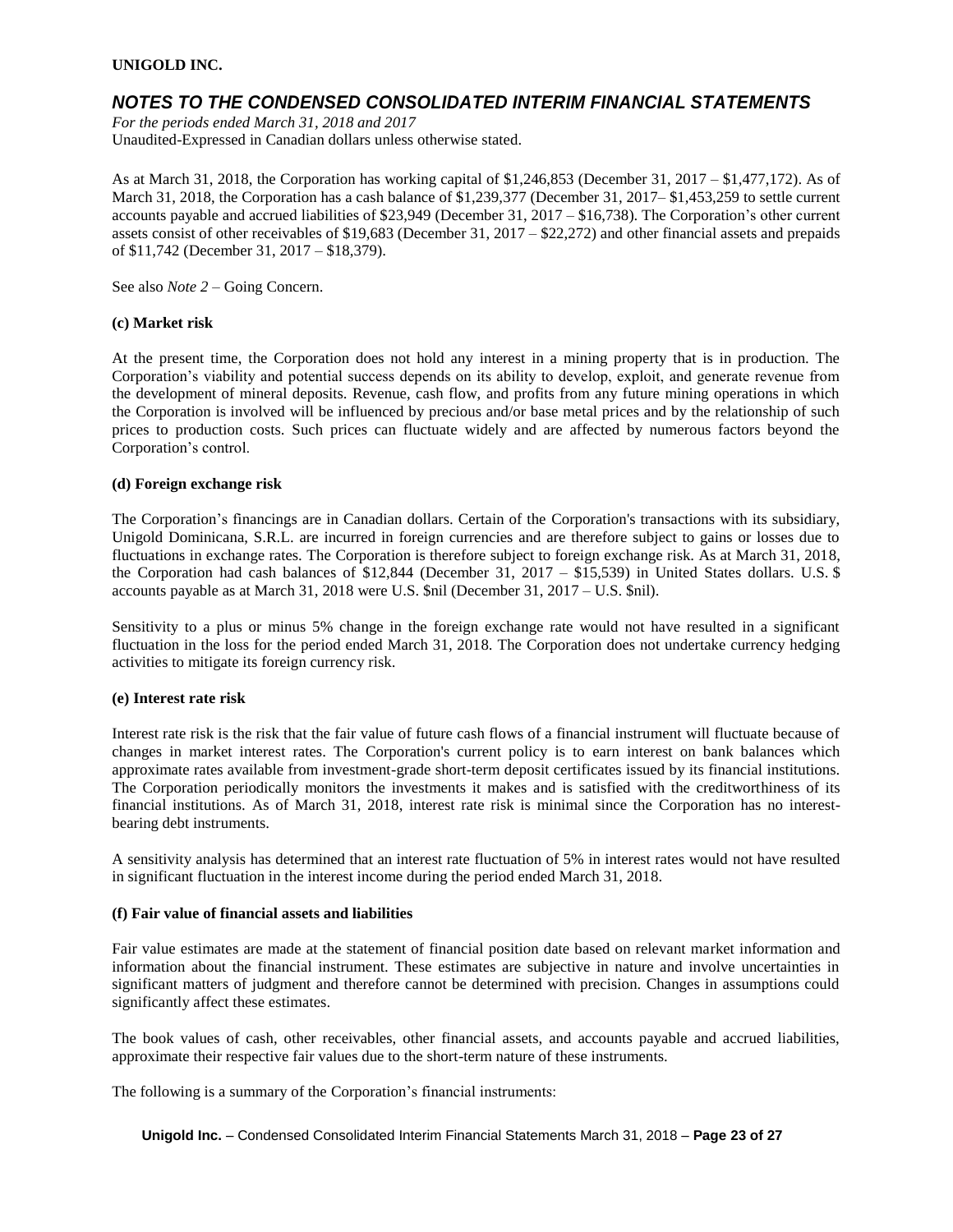## *NOTES TO THE CONDENSED CONSOLIDATED INTERIM FINANCIAL STATEMENTS*

*For the periods ended March 31, 2018 and 2017* Unaudited-Expressed in Canadian dollars unless otherwise stated.

As at March 31, 2018, the Corporation has working capital of \$1,246,853 (December 31, 2017 – \$1,477,172). As of March 31, 2018, the Corporation has a cash balance of \$1,239,377 (December 31, 2017– \$1,453,259 to settle current accounts payable and accrued liabilities of \$23,949 (December 31, 2017 – \$16,738). The Corporation's other current assets consist of other receivables of \$19,683 (December 31, 2017 – \$22,272) and other financial assets and prepaids of \$11,742 (December 31, 2017 – \$18,379).

See also *Note 2* – Going Concern.

#### **(c) Market risk**

At the present time, the Corporation does not hold any interest in a mining property that is in production. The Corporation's viability and potential success depends on its ability to develop, exploit, and generate revenue from the development of mineral deposits. Revenue, cash flow, and profits from any future mining operations in which the Corporation is involved will be influenced by precious and/or base metal prices and by the relationship of such prices to production costs. Such prices can fluctuate widely and are affected by numerous factors beyond the Corporation's control.

#### **(d) Foreign exchange risk**

The Corporation's financings are in Canadian dollars. Certain of the Corporation's transactions with its subsidiary, Unigold Dominicana, S.R.L. are incurred in foreign currencies and are therefore subject to gains or losses due to fluctuations in exchange rates. The Corporation is therefore subject to foreign exchange risk. As at March 31, 2018, the Corporation had cash balances of \$12,844 (December 31, 2017 – \$15,539) in United States dollars. U.S. \$ accounts payable as at March 31, 2018 were U.S. \$nil (December 31, 2017 – U.S. \$nil).

Sensitivity to a plus or minus 5% change in the foreign exchange rate would not have resulted in a significant fluctuation in the loss for the period ended March 31, 2018. The Corporation does not undertake currency hedging activities to mitigate its foreign currency risk.

#### **(e) Interest rate risk**

Interest rate risk is the risk that the fair value of future cash flows of a financial instrument will fluctuate because of changes in market interest rates. The Corporation's current policy is to earn interest on bank balances which approximate rates available from investment-grade short-term deposit certificates issued by its financial institutions. The Corporation periodically monitors the investments it makes and is satisfied with the creditworthiness of its financial institutions. As of March 31, 2018, interest rate risk is minimal since the Corporation has no interestbearing debt instruments.

A sensitivity analysis has determined that an interest rate fluctuation of 5% in interest rates would not have resulted in significant fluctuation in the interest income during the period ended March 31, 2018.

#### **(f) Fair value of financial assets and liabilities**

Fair value estimates are made at the statement of financial position date based on relevant market information and information about the financial instrument. These estimates are subjective in nature and involve uncertainties in significant matters of judgment and therefore cannot be determined with precision. Changes in assumptions could significantly affect these estimates.

The book values of cash, other receivables, other financial assets, and accounts payable and accrued liabilities, approximate their respective fair values due to the short-term nature of these instruments.

The following is a summary of the Corporation's financial instruments:

**Unigold Inc.** – Condensed Consolidated Interim Financial Statements March 31, 2018 – **Page 23 of 27**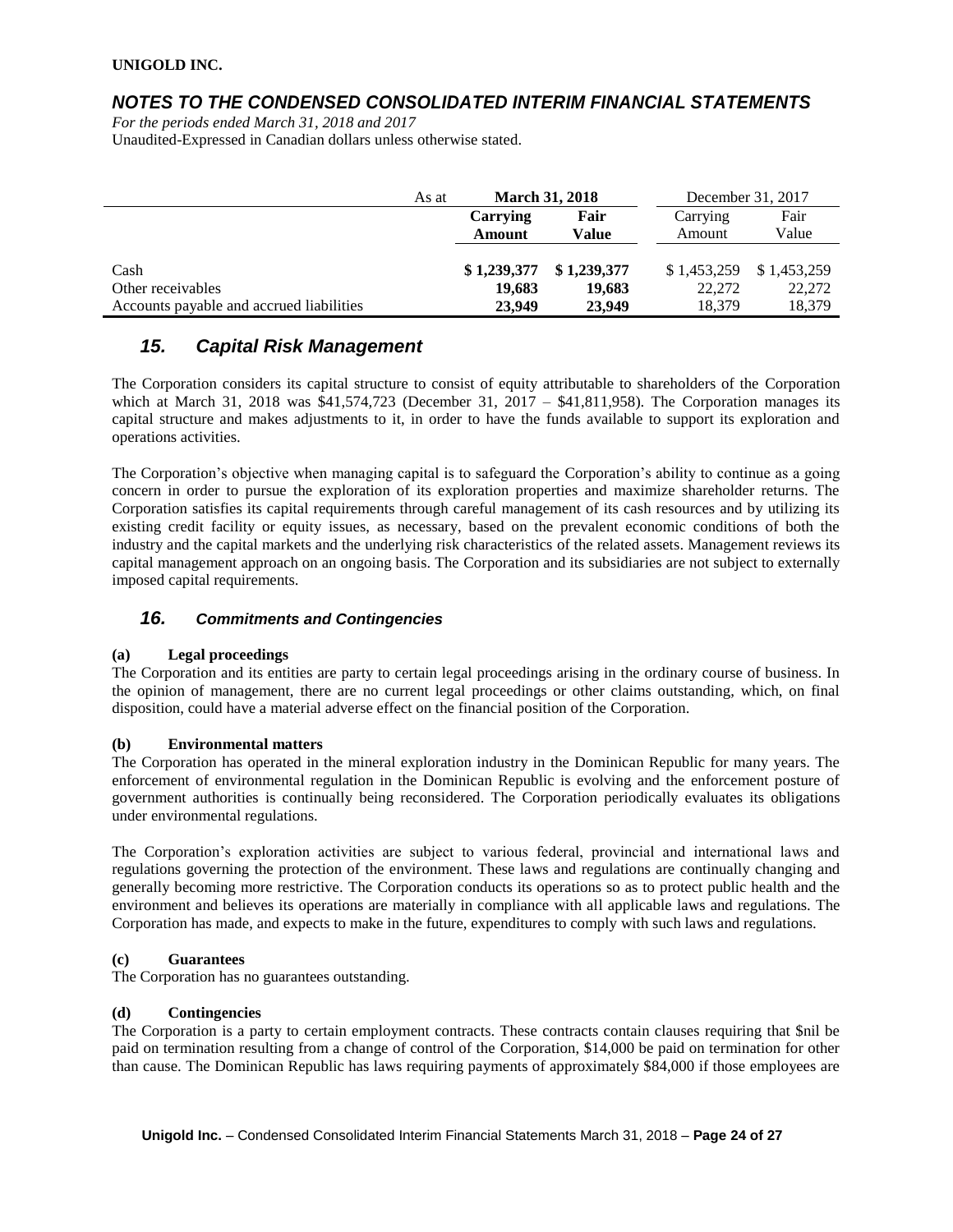## *NOTES TO THE CONDENSED CONSOLIDATED INTERIM FINANCIAL STATEMENTS*

*For the periods ended March 31, 2018 and 2017* Unaudited-Expressed in Canadian dollars unless otherwise stated.

|                                          | As at | <b>March 31, 2018</b> |             | December 31, 2017 |             |
|------------------------------------------|-------|-----------------------|-------------|-------------------|-------------|
|                                          |       | Carrying              | Fair        | Carrying          | Fair        |
|                                          |       | Amount                | Value       | Amount            | Value       |
|                                          |       |                       |             |                   |             |
| Cash                                     |       | \$1,239,377           | \$1,239,377 | \$1,453,259       | \$1,453,259 |
| Other receivables                        |       | 19.683                | 19.683      | 22,272            | 22,272      |
| Accounts payable and accrued liabilities |       | 23,949                | 23,949      | 18,379            | 18,379      |

# *15. Capital Risk Management*

The Corporation considers its capital structure to consist of equity attributable to shareholders of the Corporation which at March 31, 2018 was \$41,574,723 (December 31, 2017 – \$41,811,958). The Corporation manages its capital structure and makes adjustments to it, in order to have the funds available to support its exploration and operations activities.

The Corporation's objective when managing capital is to safeguard the Corporation's ability to continue as a going concern in order to pursue the exploration of its exploration properties and maximize shareholder returns. The Corporation satisfies its capital requirements through careful management of its cash resources and by utilizing its existing credit facility or equity issues, as necessary, based on the prevalent economic conditions of both the industry and the capital markets and the underlying risk characteristics of the related assets. Management reviews its capital management approach on an ongoing basis. The Corporation and its subsidiaries are not subject to externally imposed capital requirements.

### *16. Commitments and Contingencies*

### **(a) Legal proceedings**

The Corporation and its entities are party to certain legal proceedings arising in the ordinary course of business. In the opinion of management, there are no current legal proceedings or other claims outstanding, which, on final disposition, could have a material adverse effect on the financial position of the Corporation.

### **(b) Environmental matters**

The Corporation has operated in the mineral exploration industry in the Dominican Republic for many years. The enforcement of environmental regulation in the Dominican Republic is evolving and the enforcement posture of government authorities is continually being reconsidered. The Corporation periodically evaluates its obligations under environmental regulations.

The Corporation's exploration activities are subject to various federal, provincial and international laws and regulations governing the protection of the environment. These laws and regulations are continually changing and generally becoming more restrictive. The Corporation conducts its operations so as to protect public health and the environment and believes its operations are materially in compliance with all applicable laws and regulations. The Corporation has made, and expects to make in the future, expenditures to comply with such laws and regulations.

### **(c) Guarantees**

The Corporation has no guarantees outstanding.

### **(d) Contingencies**

The Corporation is a party to certain employment contracts. These contracts contain clauses requiring that \$nil be paid on termination resulting from a change of control of the Corporation, \$14,000 be paid on termination for other than cause. The Dominican Republic has laws requiring payments of approximately \$84,000 if those employees are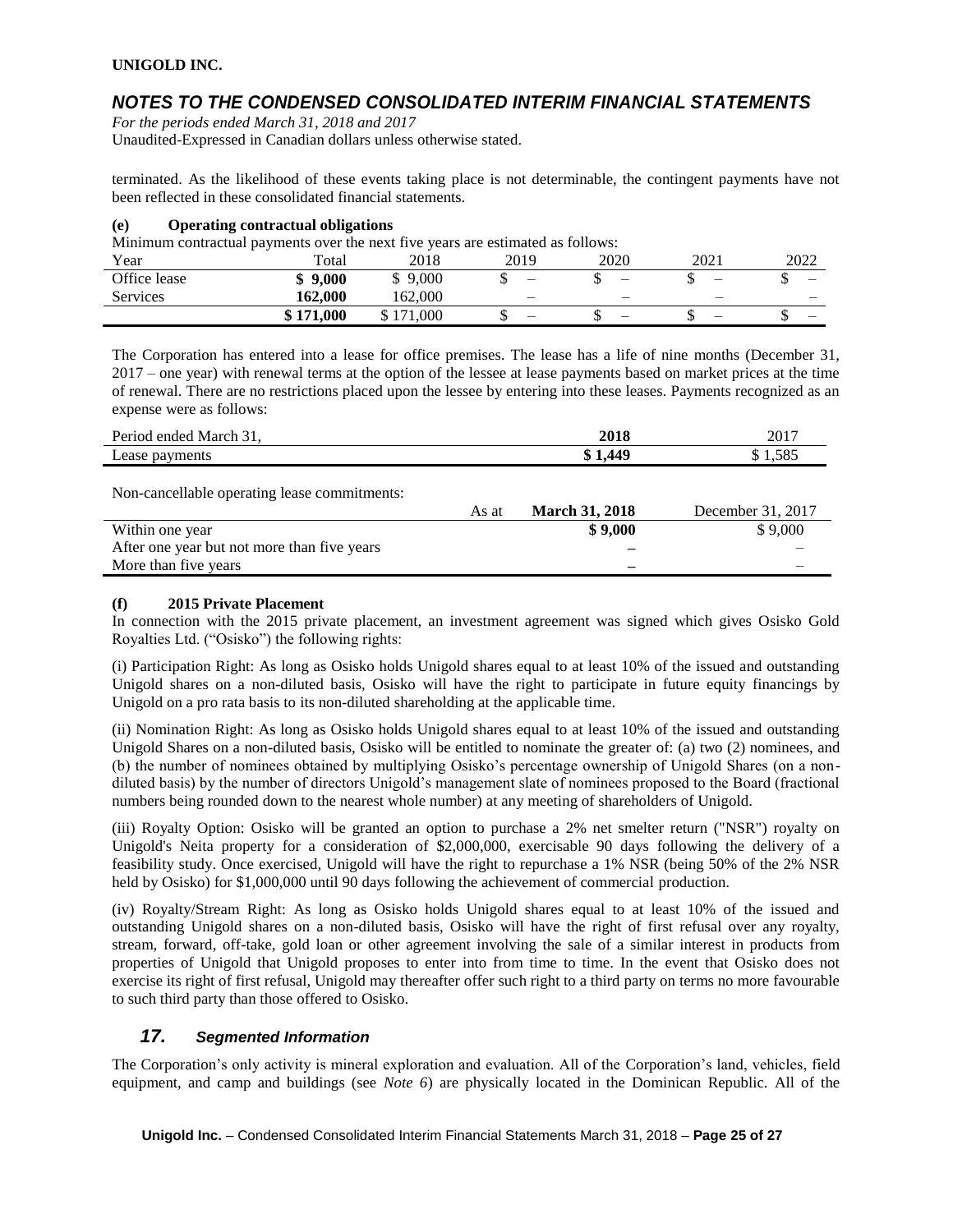# *NOTES TO THE CONDENSED CONSOLIDATED INTERIM FINANCIAL STATEMENTS*

*For the periods ended March 31, 2018 and 2017* Unaudited-Expressed in Canadian dollars unless otherwise stated.

terminated. As the likelihood of these events taking place is not determinable, the contingent payments have not been reflected in these consolidated financial statements.

#### **(e) Operating contractual obligations**

Minimum contractual payments over the next five years are estimated as follows:

| Year         | . .<br>Total | 2018          | 2019                     | 2020                     | 2021                     | 2022 |
|--------------|--------------|---------------|--------------------------|--------------------------|--------------------------|------|
| Office lease | 9,000<br>ง   | 9,000<br>Φ    | -                        | $\overline{\phantom{0}}$ | $\overline{\phantom{0}}$ | -    |
| Services     | 162.000      | 162,000       | $\overline{\phantom{0}}$ | -                        | -                        |      |
|              | \$171,000    | '1.000<br>171 | -                        | -                        |                          | -    |

The Corporation has entered into a lease for office premises. The lease has a life of nine months (December 31, 2017 – one year) with renewal terms at the option of the lessee at lease payments based on market prices at the time of renewal. There are no restrictions placed upon the lessee by entering into these leases. Payments recognized as an expense were as follows:

| Period ended March 31, | 2018    | 2017  |
|------------------------|---------|-------|
| Lease payments         | \$1,449 | 1.585 |
|                        |         |       |

Non-cancellable operating lease commitments:

| As at | <b>March 31, 2018</b> | December 31, 2017 |
|-------|-----------------------|-------------------|
|       | \$9,000               | \$9,000           |
|       | -                     |                   |
|       | -                     |                   |
|       |                       |                   |

### **(f) 2015 Private Placement**

In connection with the 2015 private placement, an investment agreement was signed which gives Osisko Gold Royalties Ltd. ("Osisko") the following rights:

(i) Participation Right: As long as Osisko holds Unigold shares equal to at least 10% of the issued and outstanding Unigold shares on a non-diluted basis, Osisko will have the right to participate in future equity financings by Unigold on a pro rata basis to its non-diluted shareholding at the applicable time.

(ii) Nomination Right: As long as Osisko holds Unigold shares equal to at least 10% of the issued and outstanding Unigold Shares on a non-diluted basis, Osisko will be entitled to nominate the greater of: (a) two (2) nominees, and (b) the number of nominees obtained by multiplying Osisko's percentage ownership of Unigold Shares (on a nondiluted basis) by the number of directors Unigold's management slate of nominees proposed to the Board (fractional numbers being rounded down to the nearest whole number) at any meeting of shareholders of Unigold.

(iii) Royalty Option: Osisko will be granted an option to purchase a 2% net smelter return ("NSR") royalty on Unigold's Neita property for a consideration of \$2,000,000, exercisable 90 days following the delivery of a feasibility study. Once exercised, Unigold will have the right to repurchase a 1% NSR (being 50% of the 2% NSR held by Osisko) for \$1,000,000 until 90 days following the achievement of commercial production.

(iv) Royalty/Stream Right: As long as Osisko holds Unigold shares equal to at least 10% of the issued and outstanding Unigold shares on a non-diluted basis, Osisko will have the right of first refusal over any royalty, stream, forward, off-take, gold loan or other agreement involving the sale of a similar interest in products from properties of Unigold that Unigold proposes to enter into from time to time. In the event that Osisko does not exercise its right of first refusal, Unigold may thereafter offer such right to a third party on terms no more favourable to such third party than those offered to Osisko.

### *17. Segmented Information*

The Corporation's only activity is mineral exploration and evaluation. All of the Corporation's land, vehicles, field equipment, and camp and buildings (see *Note 6*) are physically located in the Dominican Republic. All of the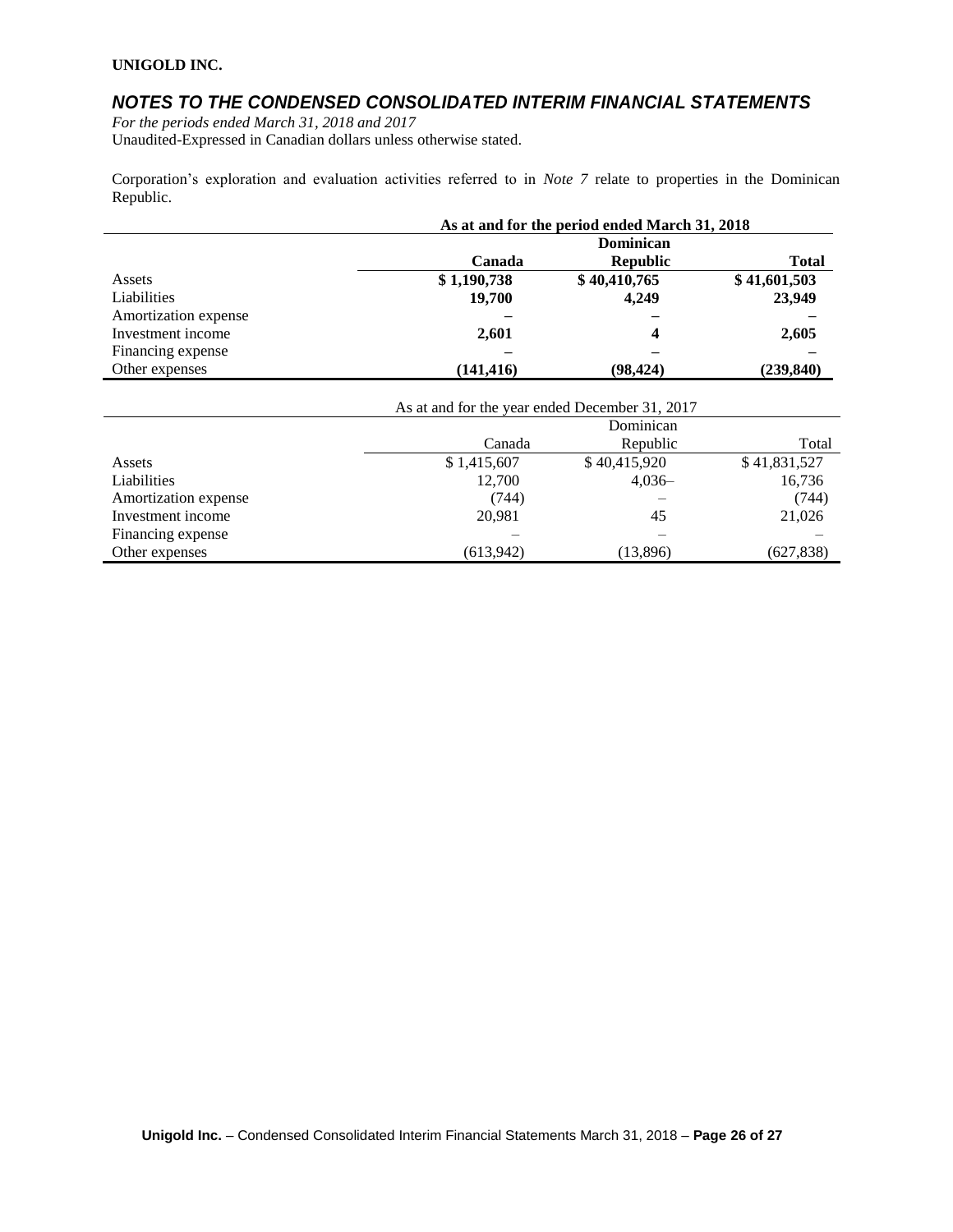# *NOTES TO THE CONDENSED CONSOLIDATED INTERIM FINANCIAL STATEMENTS*

*For the periods ended March 31, 2018 and 2017* Unaudited-Expressed in Canadian dollars unless otherwise stated.

Corporation's exploration and evaluation activities referred to in *Note 7* relate to properties in the Dominican Republic.

|                      | As at and for the period ended March 31, 2018 |                 |              |  |
|----------------------|-----------------------------------------------|-----------------|--------------|--|
|                      | Dominican                                     |                 |              |  |
|                      | Canada                                        | <b>Republic</b> | <b>Total</b> |  |
| Assets               | \$1,190,738                                   | \$40,410,765    | \$41,601,503 |  |
| Liabilities          | 19,700                                        | 4,249           | 23,949       |  |
| Amortization expense |                                               |                 |              |  |
| Investment income    | 2,601                                         | 4               | 2,605        |  |
| Financing expense    |                                               |                 |              |  |
| Other expenses       | (141, 416)                                    | (98, 424)       | (239, 840)   |  |

| As at and for the year ended December 31, 2017 |                    |              |              |  |
|------------------------------------------------|--------------------|--------------|--------------|--|
|                                                | Dominican          |              |              |  |
|                                                | Republic<br>Canada |              |              |  |
| Assets                                         | \$1,415,607        | \$40,415,920 | \$41,831,527 |  |
| Liabilities                                    | 12,700             | $4.036-$     | 16,736       |  |
| Amortization expense                           | (744)              |              | (744)        |  |
| Investment income                              | 20,981             | 45           | 21,026       |  |
| Financing expense                              |                    |              |              |  |
| Other expenses                                 | (613,942)          | (13,896)     | (627, 838)   |  |